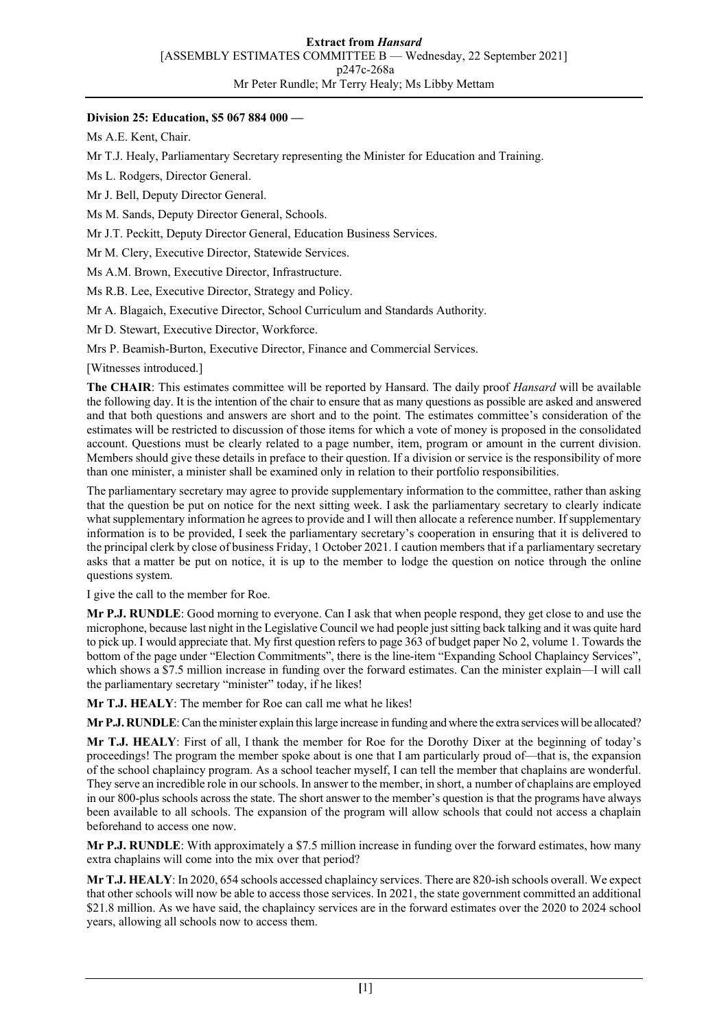#### **Division 25: Education, \$5 067 884 000 —**

Ms A.E. Kent, Chair.

Mr T.J. Healy, Parliamentary Secretary representing the Minister for Education and Training.

Ms L. Rodgers, Director General.

Mr J. Bell, Deputy Director General.

Ms M. Sands, Deputy Director General, Schools.

Mr J.T. Peckitt, Deputy Director General, Education Business Services.

Mr M. Clery, Executive Director, Statewide Services.

Ms A.M. Brown, Executive Director, Infrastructure.

Ms R.B. Lee, Executive Director, Strategy and Policy.

Mr A. Blagaich, Executive Director, School Curriculum and Standards Authority.

Mr D. Stewart, Executive Director, Workforce.

Mrs P. Beamish-Burton, Executive Director, Finance and Commercial Services.

[Witnesses introduced.]

**The CHAIR**: This estimates committee will be reported by Hansard. The daily proof *Hansard* will be available the following day. It is the intention of the chair to ensure that as many questions as possible are asked and answered and that both questions and answers are short and to the point. The estimates committee's consideration of the estimates will be restricted to discussion of those items for which a vote of money is proposed in the consolidated account. Questions must be clearly related to a page number, item, program or amount in the current division. Members should give these details in preface to their question. If a division or service is the responsibility of more than one minister, a minister shall be examined only in relation to their portfolio responsibilities.

The parliamentary secretary may agree to provide supplementary information to the committee, rather than asking that the question be put on notice for the next sitting week. I ask the parliamentary secretary to clearly indicate what supplementary information he agrees to provide and I will then allocate a reference number. If supplementary information is to be provided, I seek the parliamentary secretary's cooperation in ensuring that it is delivered to the principal clerk by close of business Friday, 1 October 2021. I caution members that if a parliamentary secretary asks that a matter be put on notice, it is up to the member to lodge the question on notice through the online questions system.

I give the call to the member for Roe.

**Mr P.J. RUNDLE**: Good morning to everyone. Can I ask that when people respond, they get close to and use the microphone, because last night in the Legislative Council we had people just sitting back talking and it was quite hard to pick up. I would appreciate that. My first question refers to page 363 of budget paper No 2, volume 1. Towards the bottom of the page under "Election Commitments", there is the line-item "Expanding School Chaplaincy Services", which shows a \$7.5 million increase in funding over the forward estimates. Can the minister explain—I will call the parliamentary secretary "minister" today, if he likes!

**Mr T.J. HEALY**: The member for Roe can call me what he likes!

**Mr P.J. RUNDLE**: Can the minister explain this large increase in funding and where the extra services will be allocated?

**Mr T.J. HEALY**: First of all, I thank the member for Roe for the Dorothy Dixer at the beginning of today's proceedings! The program the member spoke about is one that I am particularly proud of—that is, the expansion of the school chaplaincy program. As a school teacher myself, I can tell the member that chaplains are wonderful. They serve an incredible role in our schools. In answer to the member, in short, a number of chaplains are employed in our 800-plus schools across the state. The short answer to the member's question is that the programs have always been available to all schools. The expansion of the program will allow schools that could not access a chaplain beforehand to access one now.

**Mr P.J. RUNDLE**: With approximately a \$7.5 million increase in funding over the forward estimates, how many extra chaplains will come into the mix over that period?

**Mr T.J. HEALY**: In 2020, 654 schools accessed chaplaincy services. There are 820-ish schools overall. We expect that other schools will now be able to access those services. In 2021, the state government committed an additional \$21.8 million. As we have said, the chaplaincy services are in the forward estimates over the 2020 to 2024 school years, allowing all schools now to access them.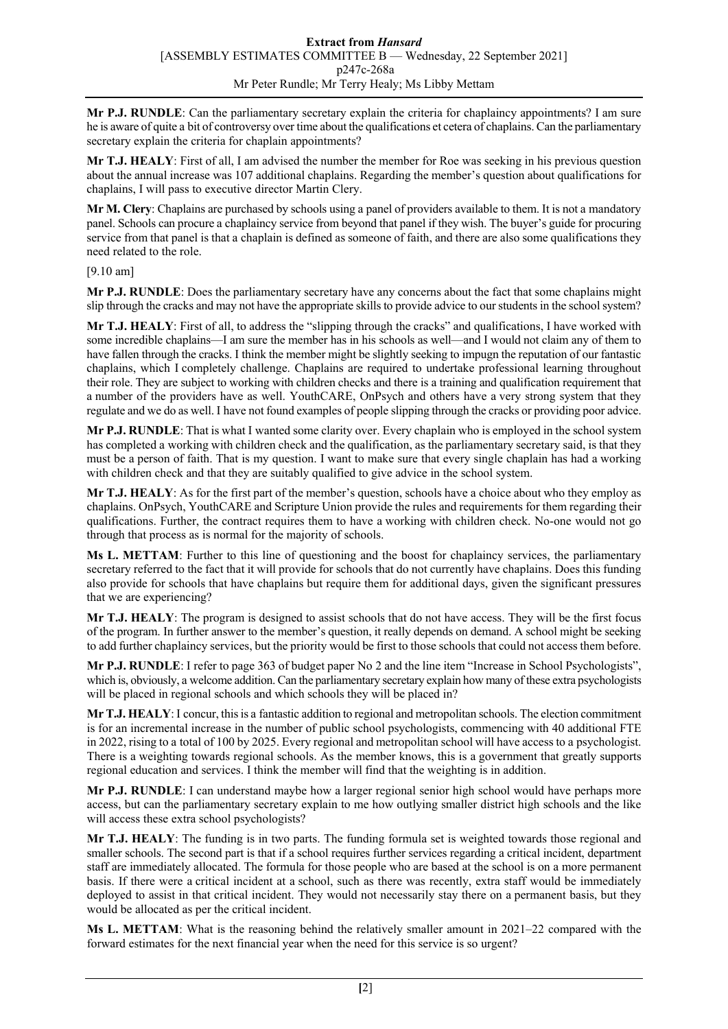**Mr P.J. RUNDLE**: Can the parliamentary secretary explain the criteria for chaplaincy appointments? I am sure he is aware of quite a bit of controversy over time about the qualifications et cetera of chaplains. Can the parliamentary secretary explain the criteria for chaplain appointments?

**Mr T.J. HEALY**: First of all, I am advised the number the member for Roe was seeking in his previous question about the annual increase was 107 additional chaplains. Regarding the member's question about qualifications for chaplains, I will pass to executive director Martin Clery.

**Mr M. Clery**: Chaplains are purchased by schools using a panel of providers available to them. It is not a mandatory panel. Schools can procure a chaplaincy service from beyond that panel if they wish. The buyer's guide for procuring service from that panel is that a chaplain is defined as someone of faith, and there are also some qualifications they need related to the role.

[9.10 am]

**Mr P.J. RUNDLE**: Does the parliamentary secretary have any concerns about the fact that some chaplains might slip through the cracks and may not have the appropriate skills to provide advice to our students in the school system?

**Mr T.J. HEALY**: First of all, to address the "slipping through the cracks" and qualifications, I have worked with some incredible chaplains—I am sure the member has in his schools as well—and I would not claim any of them to have fallen through the cracks. I think the member might be slightly seeking to impugn the reputation of our fantastic chaplains, which I completely challenge. Chaplains are required to undertake professional learning throughout their role. They are subject to working with children checks and there is a training and qualification requirement that a number of the providers have as well. YouthCARE, OnPsych and others have a very strong system that they regulate and we do as well. I have not found examples of people slipping through the cracks or providing poor advice.

**Mr P.J. RUNDLE**: That is what I wanted some clarity over. Every chaplain who is employed in the school system has completed a working with children check and the qualification, as the parliamentary secretary said, is that they must be a person of faith. That is my question. I want to make sure that every single chaplain has had a working with children check and that they are suitably qualified to give advice in the school system.

**Mr T.J. HEALY**: As for the first part of the member's question, schools have a choice about who they employ as chaplains. OnPsych, YouthCARE and Scripture Union provide the rules and requirements for them regarding their qualifications. Further, the contract requires them to have a working with children check. No-one would not go through that process as is normal for the majority of schools.

**Ms L. METTAM**: Further to this line of questioning and the boost for chaplaincy services, the parliamentary secretary referred to the fact that it will provide for schools that do not currently have chaplains. Does this funding also provide for schools that have chaplains but require them for additional days, given the significant pressures that we are experiencing?

**Mr T.J. HEALY**: The program is designed to assist schools that do not have access. They will be the first focus of the program. In further answer to the member's question, it really depends on demand. A school might be seeking to add further chaplaincy services, but the priority would be first to those schools that could not access them before.

**Mr P.J. RUNDLE**: I refer to page 363 of budget paper No 2 and the line item "Increase in School Psychologists", which is, obviously, a welcome addition. Can the parliamentary secretary explain how many of these extra psychologists will be placed in regional schools and which schools they will be placed in?

**Mr T.J. HEALY**: I concur, this is a fantastic addition to regional and metropolitan schools. The election commitment is for an incremental increase in the number of public school psychologists, commencing with 40 additional FTE in 2022, rising to a total of 100 by 2025. Every regional and metropolitan school will have access to a psychologist. There is a weighting towards regional schools. As the member knows, this is a government that greatly supports regional education and services. I think the member will find that the weighting is in addition.

**Mr P.J. RUNDLE**: I can understand maybe how a larger regional senior high school would have perhaps more access, but can the parliamentary secretary explain to me how outlying smaller district high schools and the like will access these extra school psychologists?

**Mr T.J. HEALY**: The funding is in two parts. The funding formula set is weighted towards those regional and smaller schools. The second part is that if a school requires further services regarding a critical incident, department staff are immediately allocated. The formula for those people who are based at the school is on a more permanent basis. If there were a critical incident at a school, such as there was recently, extra staff would be immediately deployed to assist in that critical incident. They would not necessarily stay there on a permanent basis, but they would be allocated as per the critical incident.

**Ms L. METTAM**: What is the reasoning behind the relatively smaller amount in 2021–22 compared with the forward estimates for the next financial year when the need for this service is so urgent?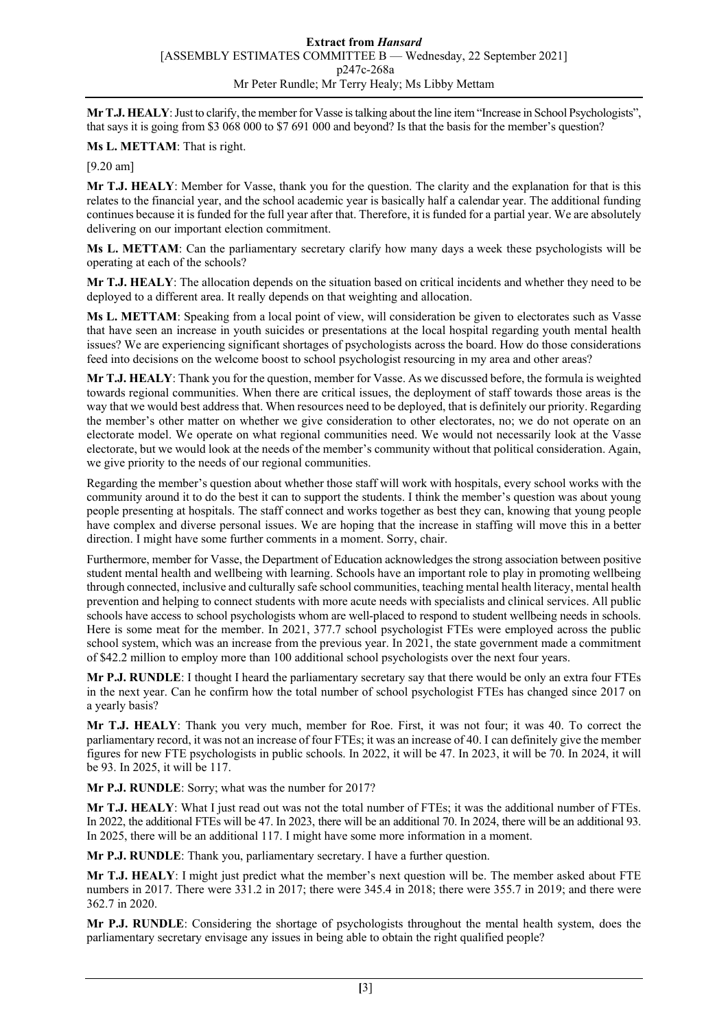**Mr T.J. HEALY**: Just to clarify, the member for Vasse is talking about the line item "Increase in School Psychologists", that says it is going from \$3 068 000 to \$7 691 000 and beyond? Is that the basis for the member's question?

**Ms L. METTAM**: That is right.

[9.20 am]

**Mr T.J. HEALY**: Member for Vasse, thank you for the question. The clarity and the explanation for that is this relates to the financial year, and the school academic year is basically half a calendar year. The additional funding continues because it is funded for the full year after that. Therefore, it is funded for a partial year. We are absolutely delivering on our important election commitment.

**Ms L. METTAM**: Can the parliamentary secretary clarify how many days a week these psychologists will be operating at each of the schools?

**Mr T.J. HEALY**: The allocation depends on the situation based on critical incidents and whether they need to be deployed to a different area. It really depends on that weighting and allocation.

**Ms L. METTAM**: Speaking from a local point of view, will consideration be given to electorates such as Vasse that have seen an increase in youth suicides or presentations at the local hospital regarding youth mental health issues? We are experiencing significant shortages of psychologists across the board. How do those considerations feed into decisions on the welcome boost to school psychologist resourcing in my area and other areas?

**Mr T.J. HEALY**: Thank you for the question, member for Vasse. As we discussed before, the formula is weighted towards regional communities. When there are critical issues, the deployment of staff towards those areas is the way that we would best address that. When resources need to be deployed, that is definitely our priority. Regarding the member's other matter on whether we give consideration to other electorates, no; we do not operate on an electorate model. We operate on what regional communities need. We would not necessarily look at the Vasse electorate, but we would look at the needs of the member's community without that political consideration. Again, we give priority to the needs of our regional communities.

Regarding the member's question about whether those staff will work with hospitals, every school works with the community around it to do the best it can to support the students. I think the member's question was about young people presenting at hospitals. The staff connect and works together as best they can, knowing that young people have complex and diverse personal issues. We are hoping that the increase in staffing will move this in a better direction. I might have some further comments in a moment. Sorry, chair.

Furthermore, member for Vasse, the Department of Education acknowledges the strong association between positive student mental health and wellbeing with learning. Schools have an important role to play in promoting wellbeing through connected, inclusive and culturally safe school communities, teaching mental health literacy, mental health prevention and helping to connect students with more acute needs with specialists and clinical services. All public schools have access to school psychologists whom are well-placed to respond to student wellbeing needs in schools. Here is some meat for the member. In 2021, 377.7 school psychologist FTEs were employed across the public school system, which was an increase from the previous year. In 2021, the state government made a commitment of \$42.2 million to employ more than 100 additional school psychologists over the next four years.

**Mr P.J. RUNDLE**: I thought I heard the parliamentary secretary say that there would be only an extra four FTEs in the next year. Can he confirm how the total number of school psychologist FTEs has changed since 2017 on a yearly basis?

**Mr T.J. HEALY**: Thank you very much, member for Roe. First, it was not four; it was 40. To correct the parliamentary record, it was not an increase of four FTEs; it was an increase of 40. I can definitely give the member figures for new FTE psychologists in public schools. In 2022, it will be 47. In 2023, it will be 70. In 2024, it will be 93. In 2025, it will be 117.

**Mr P.J. RUNDLE**: Sorry; what was the number for 2017?

**Mr T.J. HEALY**: What I just read out was not the total number of FTEs; it was the additional number of FTEs. In 2022, the additional FTEs will be 47. In 2023, there will be an additional 70. In 2024, there will be an additional 93. In 2025, there will be an additional 117. I might have some more information in a moment.

**Mr P.J. RUNDLE**: Thank you, parliamentary secretary. I have a further question.

**Mr T.J. HEALY**: I might just predict what the member's next question will be. The member asked about FTE numbers in 2017. There were 331.2 in 2017; there were 345.4 in 2018; there were 355.7 in 2019; and there were 362.7 in 2020.

**Mr P.J. RUNDLE**: Considering the shortage of psychologists throughout the mental health system, does the parliamentary secretary envisage any issues in being able to obtain the right qualified people?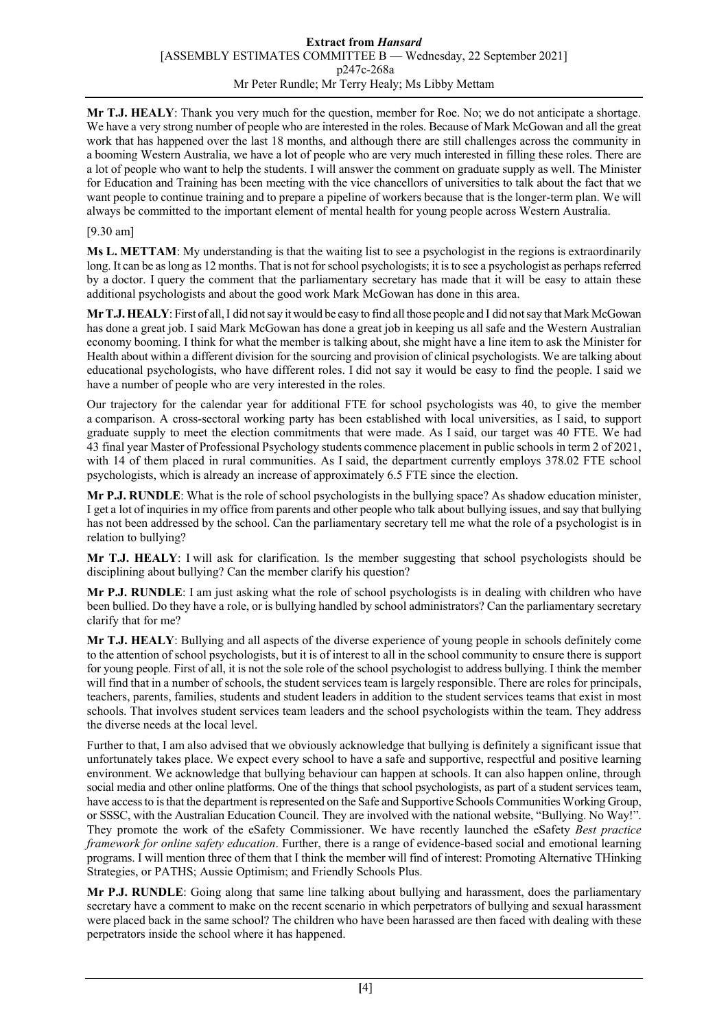#### **Extract from** *Hansard* [ASSEMBLY ESTIMATES COMMITTEE B — Wednesday, 22 September 2021] p247c-268a Mr Peter Rundle; Mr Terry Healy; Ms Libby Mettam

**Mr T.J. HEALY**: Thank you very much for the question, member for Roe. No; we do not anticipate a shortage. We have a very strong number of people who are interested in the roles. Because of Mark McGowan and all the great work that has happened over the last 18 months, and although there are still challenges across the community in a booming Western Australia, we have a lot of people who are very much interested in filling these roles. There are a lot of people who want to help the students. I will answer the comment on graduate supply as well. The Minister for Education and Training has been meeting with the vice chancellors of universities to talk about the fact that we want people to continue training and to prepare a pipeline of workers because that is the longer-term plan. We will always be committed to the important element of mental health for young people across Western Australia.

#### [9.30 am]

**Ms L. METTAM**: My understanding is that the waiting list to see a psychologist in the regions is extraordinarily long. It can be as long as 12 months. That is not for school psychologists; it is to see a psychologist as perhaps referred by a doctor. I query the comment that the parliamentary secretary has made that it will be easy to attain these additional psychologists and about the good work Mark McGowan has done in this area.

**Mr T.J. HEALY**: First of all,I did not say it would be easy to find all those people and I did not say that Mark McGowan has done a great job. I said Mark McGowan has done a great job in keeping us all safe and the Western Australian economy booming. I think for what the member is talking about, she might have a line item to ask the Minister for Health about within a different division for the sourcing and provision of clinical psychologists. We are talking about educational psychologists, who have different roles. I did not say it would be easy to find the people. I said we have a number of people who are very interested in the roles.

Our trajectory for the calendar year for additional FTE for school psychologists was 40, to give the member a comparison. A cross-sectoral working party has been established with local universities, as I said, to support graduate supply to meet the election commitments that were made. As I said, our target was 40 FTE. We had 43 final year Master of Professional Psychology students commence placement in public schools in term 2 of 2021, with 14 of them placed in rural communities. As I said, the department currently employs 378.02 FTE school psychologists, which is already an increase of approximately 6.5 FTE since the election.

**Mr P.J. RUNDLE**: What is the role of school psychologists in the bullying space? As shadow education minister, I get a lot of inquiries in my office from parents and other people who talk about bullying issues, and say that bullying has not been addressed by the school. Can the parliamentary secretary tell me what the role of a psychologist is in relation to bullying?

**Mr T.J. HEALY**: I will ask for clarification. Is the member suggesting that school psychologists should be disciplining about bullying? Can the member clarify his question?

**Mr P.J. RUNDLE**: I am just asking what the role of school psychologists is in dealing with children who have been bullied. Do they have a role, or is bullying handled by school administrators? Can the parliamentary secretary clarify that for me?

**Mr T.J. HEALY**: Bullying and all aspects of the diverse experience of young people in schools definitely come to the attention of school psychologists, but it is of interest to all in the school community to ensure there is support for young people. First of all, it is not the sole role of the school psychologist to address bullying. I think the member will find that in a number of schools, the student services team is largely responsible. There are roles for principals, teachers, parents, families, students and student leaders in addition to the student services teams that exist in most schools. That involves student services team leaders and the school psychologists within the team. They address the diverse needs at the local level.

Further to that, I am also advised that we obviously acknowledge that bullying is definitely a significant issue that unfortunately takes place. We expect every school to have a safe and supportive, respectful and positive learning environment. We acknowledge that bullying behaviour can happen at schools. It can also happen online, through social media and other online platforms. One of the things that school psychologists, as part of a student services team, have access to is that the department is represented on the Safe and Supportive Schools Communities Working Group, or SSSC, with the Australian Education Council. They are involved with the national website, "Bullying. No Way!". They promote the work of the eSafety Commissioner. We have recently launched the eSafety *Best practice framework for online safety education*. Further, there is a range of evidence-based social and emotional learning programs. I will mention three of them that I think the member will find of interest: Promoting Alternative THinking Strategies, or PATHS; Aussie Optimism; and Friendly Schools Plus.

**Mr P.J. RUNDLE**: Going along that same line talking about bullying and harassment, does the parliamentary secretary have a comment to make on the recent scenario in which perpetrators of bullying and sexual harassment were placed back in the same school? The children who have been harassed are then faced with dealing with these perpetrators inside the school where it has happened.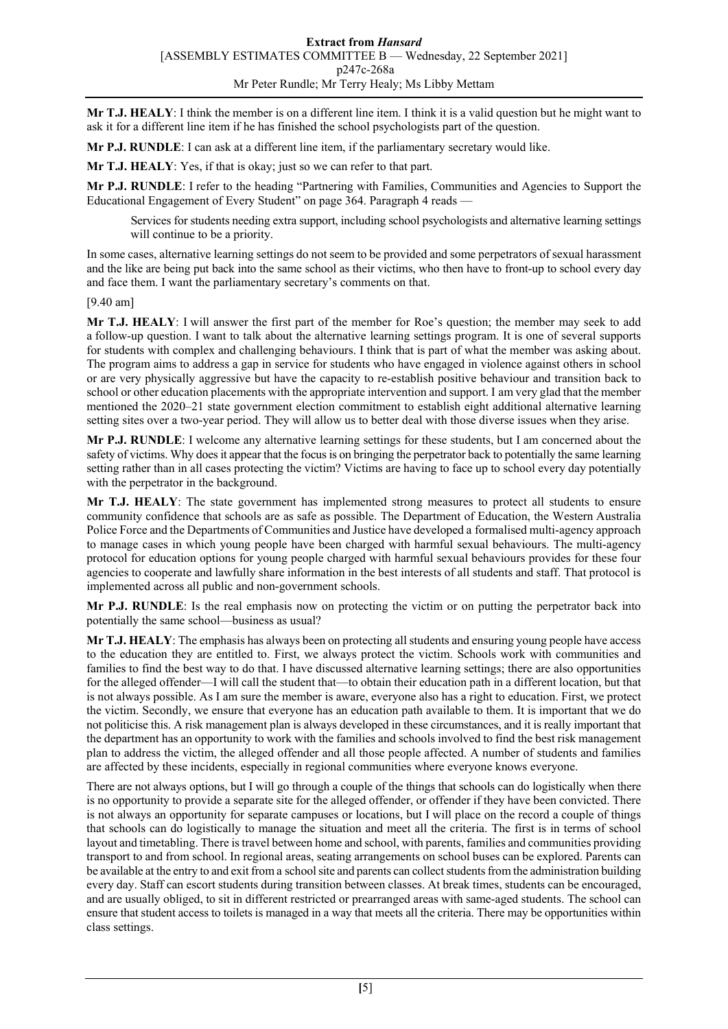**Mr T.J. HEALY**: I think the member is on a different line item. I think it is a valid question but he might want to ask it for a different line item if he has finished the school psychologists part of the question.

**Mr P.J. RUNDLE**: I can ask at a different line item, if the parliamentary secretary would like.

**Mr T.J. HEALY**: Yes, if that is okay; just so we can refer to that part.

**Mr P.J. RUNDLE**: I refer to the heading "Partnering with Families, Communities and Agencies to Support the Educational Engagement of Every Student" on page 364. Paragraph 4 reads —

Services for students needing extra support, including school psychologists and alternative learning settings will continue to be a priority.

In some cases, alternative learning settings do not seem to be provided and some perpetrators of sexual harassment and the like are being put back into the same school as their victims, who then have to front-up to school every day and face them. I want the parliamentary secretary's comments on that.

[9.40 am]

**Mr T.J. HEALY**: I will answer the first part of the member for Roe's question; the member may seek to add a follow-up question. I want to talk about the alternative learning settings program. It is one of several supports for students with complex and challenging behaviours. I think that is part of what the member was asking about. The program aims to address a gap in service for students who have engaged in violence against others in school or are very physically aggressive but have the capacity to re-establish positive behaviour and transition back to school or other education placements with the appropriate intervention and support. I am very glad that the member mentioned the 2020–21 state government election commitment to establish eight additional alternative learning setting sites over a two-year period. They will allow us to better deal with those diverse issues when they arise.

**Mr P.J. RUNDLE**: I welcome any alternative learning settings for these students, but I am concerned about the safety of victims. Why does it appear that the focus is on bringing the perpetrator back to potentially the same learning setting rather than in all cases protecting the victim? Victims are having to face up to school every day potentially with the perpetrator in the background.

**Mr T.J. HEALY**: The state government has implemented strong measures to protect all students to ensure community confidence that schools are as safe as possible. The Department of Education, the Western Australia Police Force and the Departments of Communities and Justice have developed a formalised multi-agency approach to manage cases in which young people have been charged with harmful sexual behaviours. The multi-agency protocol for education options for young people charged with harmful sexual behaviours provides for these four agencies to cooperate and lawfully share information in the best interests of all students and staff. That protocol is implemented across all public and non-government schools.

**Mr P.J. RUNDLE**: Is the real emphasis now on protecting the victim or on putting the perpetrator back into potentially the same school—business as usual?

**Mr T.J. HEALY**: The emphasis has always been on protecting all students and ensuring young people have access to the education they are entitled to. First, we always protect the victim. Schools work with communities and families to find the best way to do that. I have discussed alternative learning settings; there are also opportunities for the alleged offender—I will call the student that—to obtain their education path in a different location, but that is not always possible. As I am sure the member is aware, everyone also has a right to education. First, we protect the victim. Secondly, we ensure that everyone has an education path available to them. It is important that we do not politicise this. A risk management plan is always developed in these circumstances, and it is really important that the department has an opportunity to work with the families and schools involved to find the best risk management plan to address the victim, the alleged offender and all those people affected. A number of students and families are affected by these incidents, especially in regional communities where everyone knows everyone.

There are not always options, but I will go through a couple of the things that schools can do logistically when there is no opportunity to provide a separate site for the alleged offender, or offender if they have been convicted. There is not always an opportunity for separate campuses or locations, but I will place on the record a couple of things that schools can do logistically to manage the situation and meet all the criteria. The first is in terms of school layout and timetabling. There is travel between home and school, with parents, families and communities providing transport to and from school. In regional areas, seating arrangements on school buses can be explored. Parents can be available at the entry to and exit from a school site and parents can collect students from the administration building every day. Staff can escort students during transition between classes. At break times, students can be encouraged, and are usually obliged, to sit in different restricted or prearranged areas with same-aged students. The school can ensure that student access to toilets is managed in a way that meets all the criteria. There may be opportunities within class settings.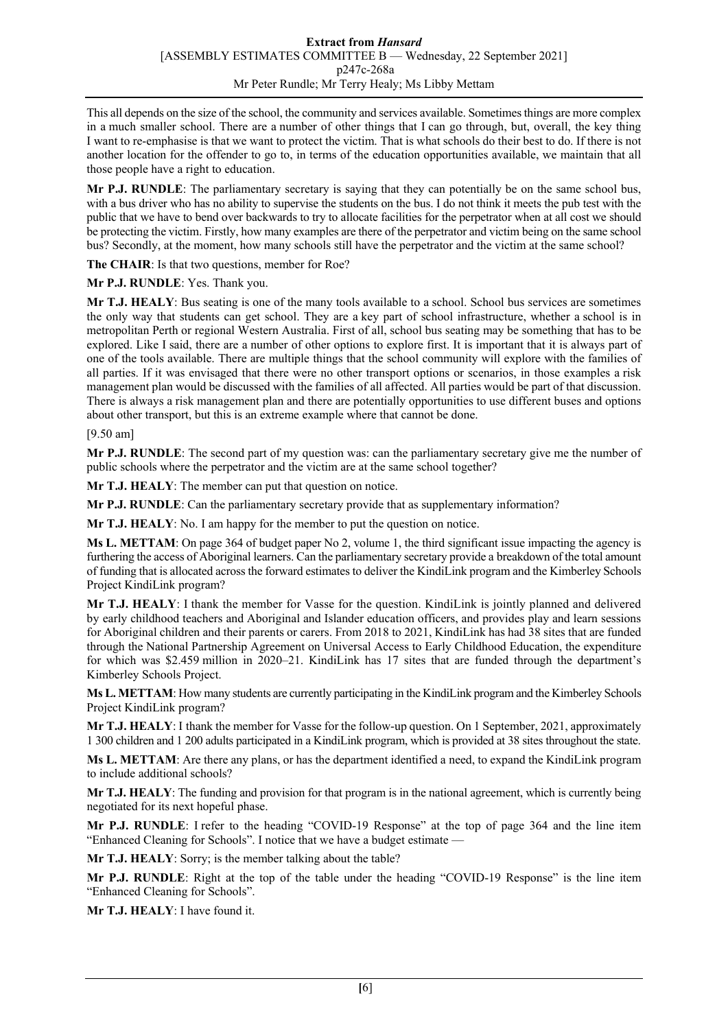This all depends on the size of the school, the community and services available. Sometimes things are more complex in a much smaller school. There are a number of other things that I can go through, but, overall, the key thing I want to re-emphasise is that we want to protect the victim. That is what schools do their best to do. If there is not another location for the offender to go to, in terms of the education opportunities available, we maintain that all those people have a right to education.

**Mr P.J. RUNDLE**: The parliamentary secretary is saying that they can potentially be on the same school bus, with a bus driver who has no ability to supervise the students on the bus. I do not think it meets the pub test with the public that we have to bend over backwards to try to allocate facilities for the perpetrator when at all cost we should be protecting the victim. Firstly, how many examples are there of the perpetrator and victim being on the same school bus? Secondly, at the moment, how many schools still have the perpetrator and the victim at the same school?

**The CHAIR**: Is that two questions, member for Roe?

**Mr P.J. RUNDLE**: Yes. Thank you.

**Mr T.J. HEALY**: Bus seating is one of the many tools available to a school. School bus services are sometimes the only way that students can get school. They are a key part of school infrastructure, whether a school is in metropolitan Perth or regional Western Australia. First of all, school bus seating may be something that has to be explored. Like I said, there are a number of other options to explore first. It is important that it is always part of one of the tools available. There are multiple things that the school community will explore with the families of all parties. If it was envisaged that there were no other transport options or scenarios, in those examples a risk management plan would be discussed with the families of all affected. All parties would be part of that discussion. There is always a risk management plan and there are potentially opportunities to use different buses and options about other transport, but this is an extreme example where that cannot be done.

#### [9.50 am]

**Mr P.J. RUNDLE**: The second part of my question was: can the parliamentary secretary give me the number of public schools where the perpetrator and the victim are at the same school together?

**Mr T.J. HEALY**: The member can put that question on notice.

**Mr P.J. RUNDLE**: Can the parliamentary secretary provide that as supplementary information?

**Mr T.J. HEALY**: No. I am happy for the member to put the question on notice.

**Ms L. METTAM**: On page 364 of budget paper No 2, volume 1, the third significant issue impacting the agency is furthering the access of Aboriginal learners. Can the parliamentary secretary provide a breakdown of the total amount of funding that is allocated across the forward estimates to deliver the KindiLink program and the Kimberley Schools Project KindiLink program?

**Mr T.J. HEALY**: I thank the member for Vasse for the question. KindiLink is jointly planned and delivered by early childhood teachers and Aboriginal and Islander education officers, and provides play and learn sessions for Aboriginal children and their parents or carers. From 2018 to 2021, KindiLink has had 38 sites that are funded through the National Partnership Agreement on Universal Access to Early Childhood Education, the expenditure for which was \$2.459 million in 2020–21. KindiLink has 17 sites that are funded through the department's Kimberley Schools Project.

**Ms L. METTAM**: How many students are currently participating in the KindiLink program and the Kimberley Schools Project KindiLink program?

**Mr T.J. HEALY**: I thank the member for Vasse for the follow-up question. On 1 September, 2021, approximately 1 300 children and 1 200 adults participated in a KindiLink program, which is provided at 38 sites throughout the state.

**Ms L. METTAM**: Are there any plans, or has the department identified a need, to expand the KindiLink program to include additional schools?

**Mr T.J. HEALY**: The funding and provision for that program is in the national agreement, which is currently being negotiated for its next hopeful phase.

**Mr P.J. RUNDLE**: I refer to the heading "COVID-19 Response" at the top of page 364 and the line item "Enhanced Cleaning for Schools". I notice that we have a budget estimate —

**Mr T.J. HEALY**: Sorry; is the member talking about the table?

**Mr P.J. RUNDLE**: Right at the top of the table under the heading "COVID-19 Response" is the line item "Enhanced Cleaning for Schools".

**Mr T.J. HEALY**: I have found it.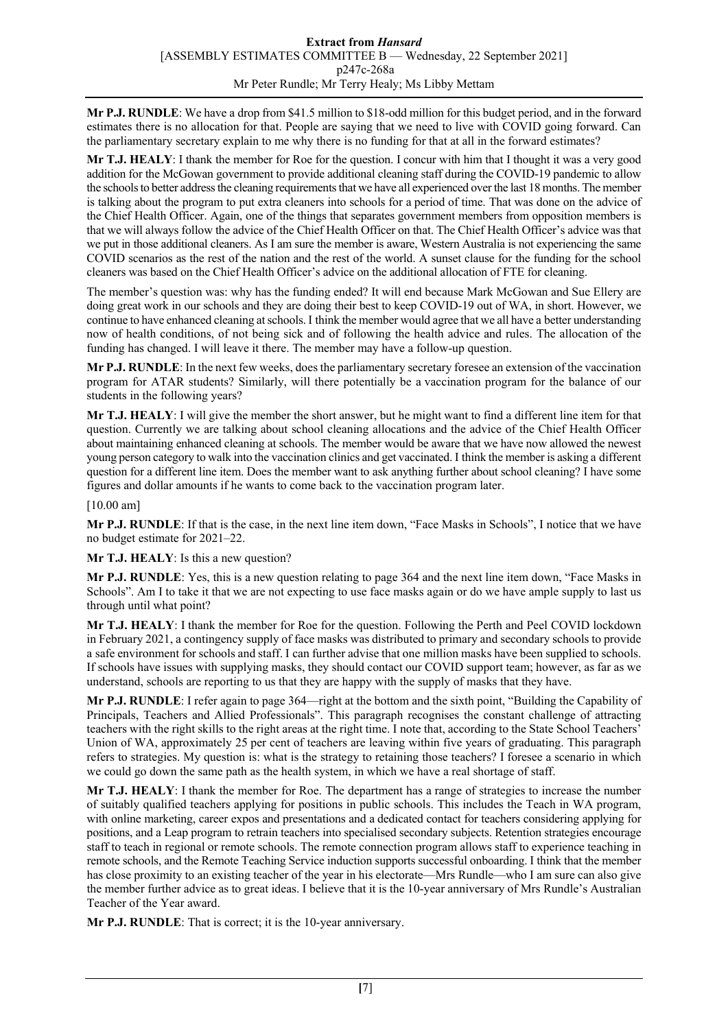**Mr P.J. RUNDLE**: We have a drop from \$41.5 million to \$18-odd million for this budget period, and in the forward estimates there is no allocation for that. People are saying that we need to live with COVID going forward. Can the parliamentary secretary explain to me why there is no funding for that at all in the forward estimates?

**Mr T.J. HEALY**: I thank the member for Roe for the question. I concur with him that I thought it was a very good addition for the McGowan government to provide additional cleaning staff during the COVID-19 pandemic to allow the schools to better address the cleaning requirements that we have all experienced over the last 18 months. The member is talking about the program to put extra cleaners into schools for a period of time. That was done on the advice of the Chief Health Officer. Again, one of the things that separates government members from opposition members is that we will always follow the advice of the Chief Health Officer on that. The Chief Health Officer's advice was that we put in those additional cleaners. As I am sure the member is aware, Western Australia is not experiencing the same COVID scenarios as the rest of the nation and the rest of the world. A sunset clause for the funding for the school cleaners was based on the Chief Health Officer's advice on the additional allocation of FTE for cleaning.

The member's question was: why has the funding ended? It will end because Mark McGowan and Sue Ellery are doing great work in our schools and they are doing their best to keep COVID-19 out of WA, in short. However, we continue to have enhanced cleaning at schools. I think the member would agree that we all have a better understanding now of health conditions, of not being sick and of following the health advice and rules. The allocation of the funding has changed. I will leave it there. The member may have a follow-up question.

**Mr P.J. RUNDLE**: In the next few weeks, does the parliamentary secretary foresee an extension of the vaccination program for ATAR students? Similarly, will there potentially be a vaccination program for the balance of our students in the following years?

**Mr T.J. HEALY**: I will give the member the short answer, but he might want to find a different line item for that question. Currently we are talking about school cleaning allocations and the advice of the Chief Health Officer about maintaining enhanced cleaning at schools. The member would be aware that we have now allowed the newest young person category to walk into the vaccination clinics and get vaccinated. I think the member is asking a different question for a different line item. Does the member want to ask anything further about school cleaning? I have some figures and dollar amounts if he wants to come back to the vaccination program later.

[10.00 am]

**Mr P.J. RUNDLE**: If that is the case, in the next line item down, "Face Masks in Schools", I notice that we have no budget estimate for 2021–22.

**Mr T.J. HEALY**: Is this a new question?

**Mr P.J. RUNDLE**: Yes, this is a new question relating to page 364 and the next line item down, "Face Masks in Schools". Am I to take it that we are not expecting to use face masks again or do we have ample supply to last us through until what point?

**Mr T.J. HEALY**: I thank the member for Roe for the question. Following the Perth and Peel COVID lockdown in February 2021, a contingency supply of face masks was distributed to primary and secondary schools to provide a safe environment for schools and staff. I can further advise that one million masks have been supplied to schools. If schools have issues with supplying masks, they should contact our COVID support team; however, as far as we understand, schools are reporting to us that they are happy with the supply of masks that they have.

**Mr P.J. RUNDLE**: I refer again to page 364—right at the bottom and the sixth point, "Building the Capability of Principals, Teachers and Allied Professionals". This paragraph recognises the constant challenge of attracting teachers with the right skills to the right areas at the right time. I note that, according to the State School Teachers' Union of WA, approximately 25 per cent of teachers are leaving within five years of graduating. This paragraph refers to strategies. My question is: what is the strategy to retaining those teachers? I foresee a scenario in which we could go down the same path as the health system, in which we have a real shortage of staff.

**Mr T.J. HEALY**: I thank the member for Roe. The department has a range of strategies to increase the number of suitably qualified teachers applying for positions in public schools. This includes the Teach in WA program, with online marketing, career expos and presentations and a dedicated contact for teachers considering applying for positions, and a Leap program to retrain teachers into specialised secondary subjects. Retention strategies encourage staff to teach in regional or remote schools. The remote connection program allows staff to experience teaching in remote schools, and the Remote Teaching Service induction supports successful onboarding. I think that the member has close proximity to an existing teacher of the year in his electorate—Mrs Rundle—who I am sure can also give the member further advice as to great ideas. I believe that it is the 10-year anniversary of Mrs Rundle's Australian Teacher of the Year award.

**Mr P.J. RUNDLE**: That is correct; it is the 10-year anniversary.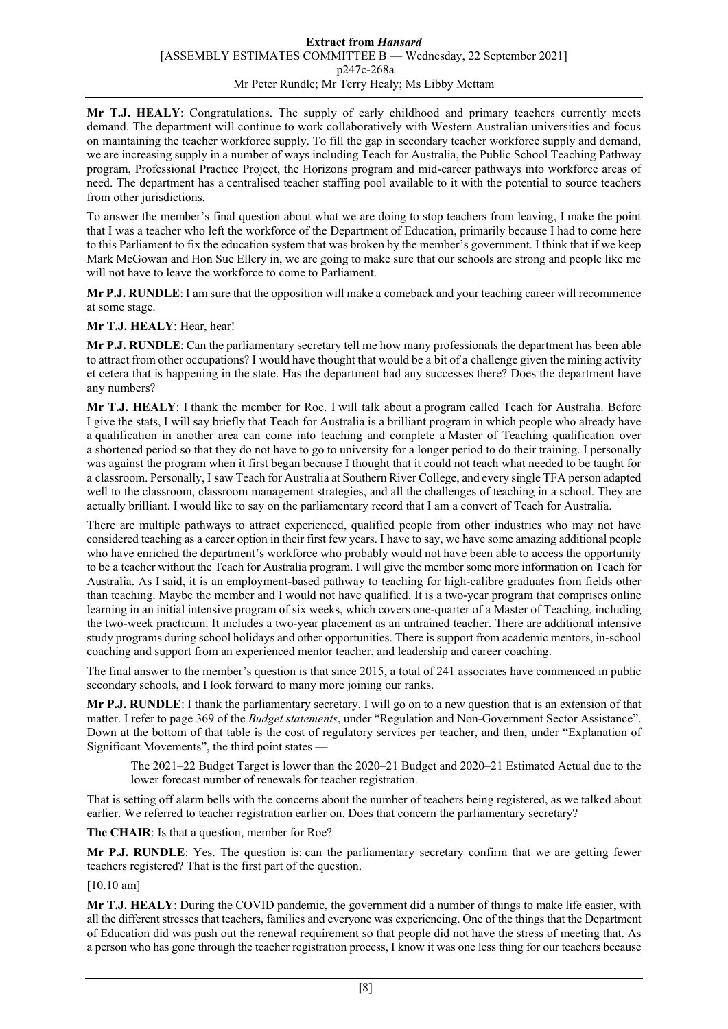#### **Extract from** *Hansard* [ASSEMBLY ESTIMATES COMMITTEE B — Wednesday, 22 September 2021] p247c-268a Mr Peter Rundle; Mr Terry Healy; Ms Libby Mettam

**Mr T.J. HEALY**: Congratulations. The supply of early childhood and primary teachers currently meets demand. The department will continue to work collaboratively with Western Australian universities and focus on maintaining the teacher workforce supply. To fill the gap in secondary teacher workforce supply and demand, we are increasing supply in a number of ways including Teach for Australia, the Public School Teaching Pathway program, Professional Practice Project, the Horizons program and mid-career pathways into workforce areas of need. The department has a centralised teacher staffing pool available to it with the potential to source teachers from other jurisdictions.

To answer the member's final question about what we are doing to stop teachers from leaving, I make the point that I was a teacher who left the workforce of the Department of Education, primarily because I had to come here to this Parliament to fix the education system that was broken by the member's government. I think that if we keep Mark McGowan and Hon Sue Ellery in, we are going to make sure that our schools are strong and people like me will not have to leave the workforce to come to Parliament.

**Mr P.J. RUNDLE**: I am sure that the opposition will make a comeback and your teaching career will recommence at some stage.

# **Mr T.J. HEALY**: Hear, hear!

**Mr P.J. RUNDLE**: Can the parliamentary secretary tell me how many professionals the department has been able to attract from other occupations? I would have thought that would be a bit of a challenge given the mining activity et cetera that is happening in the state. Has the department had any successes there? Does the department have any numbers?

**Mr T.J. HEALY**: I thank the member for Roe. I will talk about a program called Teach for Australia. Before I give the stats, I will say briefly that Teach for Australia is a brilliant program in which people who already have a qualification in another area can come into teaching and complete a Master of Teaching qualification over a shortened period so that they do not have to go to university for a longer period to do their training. I personally was against the program when it first began because I thought that it could not teach what needed to be taught for a classroom. Personally, I saw Teach for Australia at Southern River College, and every single TFA person adapted well to the classroom, classroom management strategies, and all the challenges of teaching in a school. They are actually brilliant. I would like to say on the parliamentary record that I am a convert of Teach for Australia.

There are multiple pathways to attract experienced, qualified people from other industries who may not have considered teaching as a career option in their first few years. I have to say, we have some amazing additional people who have enriched the department's workforce who probably would not have been able to access the opportunity to be a teacher without the Teach for Australia program. I will give the member some more information on Teach for Australia. As I said, it is an employment-based pathway to teaching for high-calibre graduates from fields other than teaching. Maybe the member and I would not have qualified. It is a two-year program that comprises online learning in an initial intensive program of six weeks, which covers one-quarter of a Master of Teaching, including the two-week practicum. It includes a two-year placement as an untrained teacher. There are additional intensive study programs during school holidays and other opportunities. There is support from academic mentors, in-school coaching and support from an experienced mentor teacher, and leadership and career coaching.

The final answer to the member's question is that since 2015, a total of 241 associates have commenced in public secondary schools, and I look forward to many more joining our ranks.

**Mr P.J. RUNDLE**: I thank the parliamentary secretary. I will go on to a new question that is an extension of that matter. I refer to page 369 of the *Budget statements*, under "Regulation and Non-Government Sector Assistance". Down at the bottom of that table is the cost of regulatory services per teacher, and then, under "Explanation of Significant Movements", the third point states —

The 2021–22 Budget Target is lower than the 2020–21 Budget and 2020–21 Estimated Actual due to the lower forecast number of renewals for teacher registration.

That is setting off alarm bells with the concerns about the number of teachers being registered, as we talked about earlier. We referred to teacher registration earlier on. Does that concern the parliamentary secretary?

**The CHAIR**: Is that a question, member for Roe?

**Mr P.J. RUNDLE**: Yes. The question is: can the parliamentary secretary confirm that we are getting fewer teachers registered? That is the first part of the question.

[10.10 am]

**Mr T.J. HEALY**: During the COVID pandemic, the government did a number of things to make life easier, with all the different stresses that teachers, families and everyone was experiencing. One of the things that the Department of Education did was push out the renewal requirement so that people did not have the stress of meeting that. As a person who has gone through the teacher registration process, I know it was one less thing for our teachers because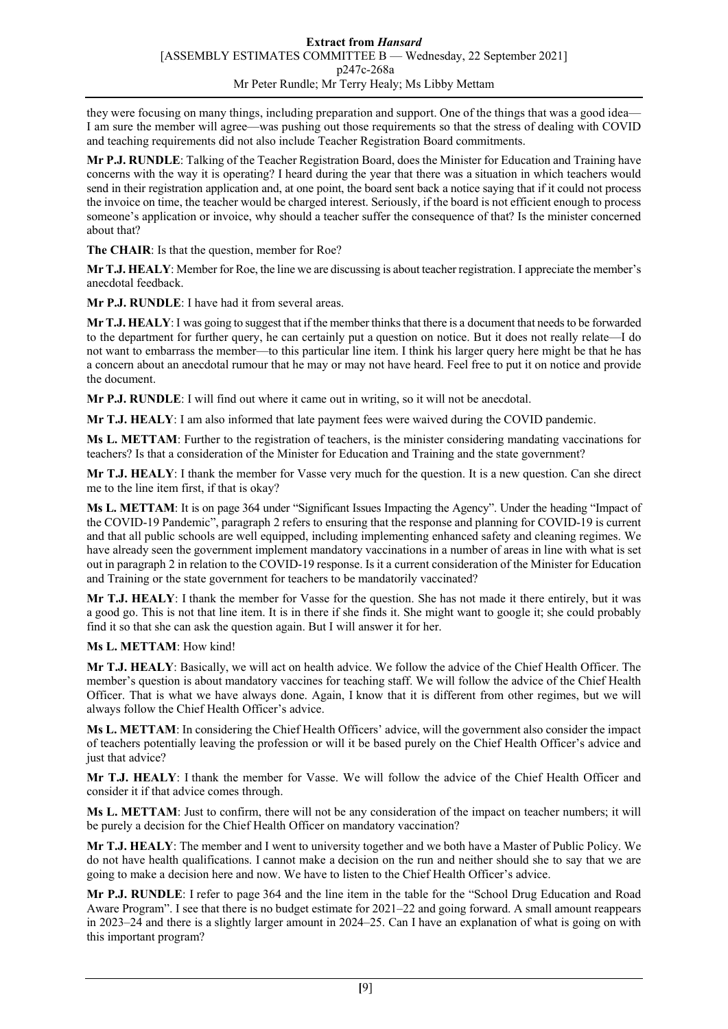they were focusing on many things, including preparation and support. One of the things that was a good idea— I am sure the member will agree—was pushing out those requirements so that the stress of dealing with COVID and teaching requirements did not also include Teacher Registration Board commitments.

**Mr P.J. RUNDLE**: Talking of the Teacher Registration Board, does the Minister for Education and Training have concerns with the way it is operating? I heard during the year that there was a situation in which teachers would send in their registration application and, at one point, the board sent back a notice saying that if it could not process the invoice on time, the teacher would be charged interest. Seriously, if the board is not efficient enough to process someone's application or invoice, why should a teacher suffer the consequence of that? Is the minister concerned about that?

**The CHAIR**: Is that the question, member for Roe?

**Mr T.J. HEALY**: Member for Roe, the line we are discussing is about teacher registration. I appreciate the member's anecdotal feedback.

**Mr P.J. RUNDLE**: I have had it from several areas.

**Mr T.J. HEALY**: I was going to suggest that if the member thinks that there is a document that needs to be forwarded to the department for further query, he can certainly put a question on notice. But it does not really relate—I do not want to embarrass the member—to this particular line item. I think his larger query here might be that he has a concern about an anecdotal rumour that he may or may not have heard. Feel free to put it on notice and provide the document.

**Mr P.J. RUNDLE**: I will find out where it came out in writing, so it will not be anecdotal.

**Mr T.J. HEALY**: I am also informed that late payment fees were waived during the COVID pandemic.

**Ms L. METTAM**: Further to the registration of teachers, is the minister considering mandating vaccinations for teachers? Is that a consideration of the Minister for Education and Training and the state government?

**Mr T.J. HEALY**: I thank the member for Vasse very much for the question. It is a new question. Can she direct me to the line item first, if that is okay?

**Ms L. METTAM**: It is on page 364 under "Significant Issues Impacting the Agency". Under the heading "Impact of the COVID-19 Pandemic", paragraph 2 refers to ensuring that the response and planning for COVID-19 is current and that all public schools are well equipped, including implementing enhanced safety and cleaning regimes. We have already seen the government implement mandatory vaccinations in a number of areas in line with what is set out in paragraph 2 in relation to the COVID-19 response. Is it a current consideration of the Minister for Education and Training or the state government for teachers to be mandatorily vaccinated?

**Mr T.J. HEALY**: I thank the member for Vasse for the question. She has not made it there entirely, but it was a good go. This is not that line item. It is in there if she finds it. She might want to google it; she could probably find it so that she can ask the question again. But I will answer it for her.

**Ms L. METTAM**: How kind!

**Mr T.J. HEALY**: Basically, we will act on health advice. We follow the advice of the Chief Health Officer. The member's question is about mandatory vaccines for teaching staff. We will follow the advice of the Chief Health Officer. That is what we have always done. Again, I know that it is different from other regimes, but we will always follow the Chief Health Officer's advice.

**Ms L. METTAM**: In considering the Chief Health Officers' advice, will the government also consider the impact of teachers potentially leaving the profession or will it be based purely on the Chief Health Officer's advice and just that advice?

**Mr T.J. HEALY**: I thank the member for Vasse. We will follow the advice of the Chief Health Officer and consider it if that advice comes through.

**Ms L. METTAM**: Just to confirm, there will not be any consideration of the impact on teacher numbers; it will be purely a decision for the Chief Health Officer on mandatory vaccination?

**Mr T.J. HEALY**: The member and I went to university together and we both have a Master of Public Policy. We do not have health qualifications. I cannot make a decision on the run and neither should she to say that we are going to make a decision here and now. We have to listen to the Chief Health Officer's advice.

**Mr P.J. RUNDLE**: I refer to page 364 and the line item in the table for the "School Drug Education and Road Aware Program". I see that there is no budget estimate for 2021–22 and going forward. A small amount reappears in 2023–24 and there is a slightly larger amount in 2024–25. Can I have an explanation of what is going on with this important program?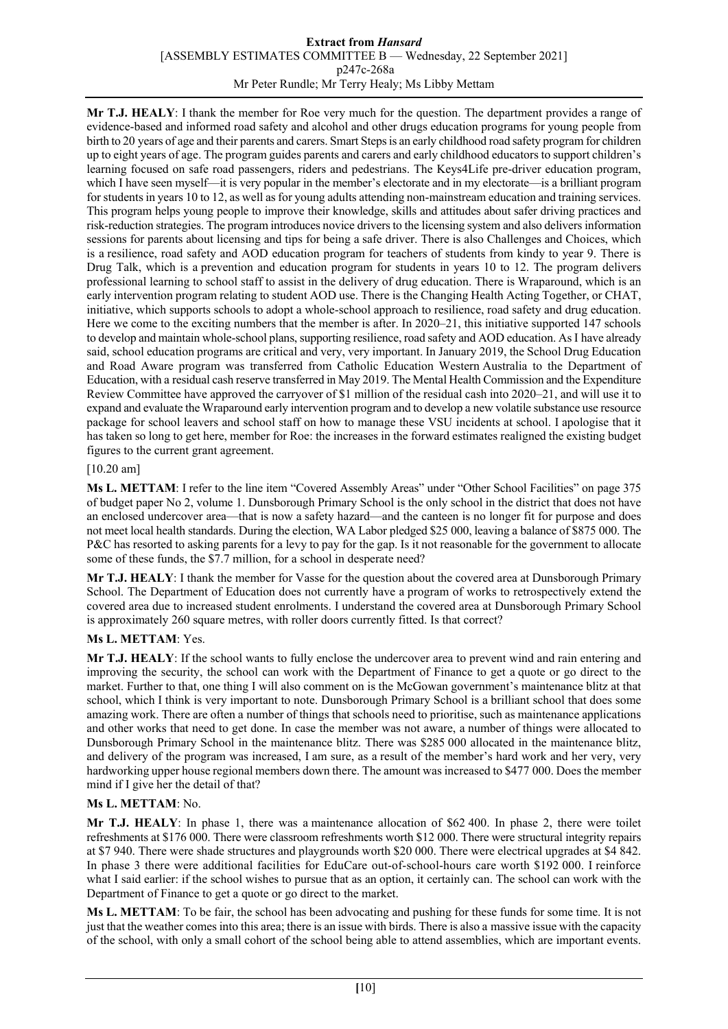#### **Extract from** *Hansard* [ASSEMBLY ESTIMATES COMMITTEE B — Wednesday, 22 September 2021] p247c-268a Mr Peter Rundle; Mr Terry Healy; Ms Libby Mettam

**Mr T.J. HEALY**: I thank the member for Roe very much for the question. The department provides a range of evidence-based and informed road safety and alcohol and other drugs education programs for young people from birth to 20 years of age and their parents and carers. Smart Steps is an early childhood road safety program for children up to eight years of age. The program guides parents and carers and early childhood educators to support children's learning focused on safe road passengers, riders and pedestrians. The Keys4Life pre-driver education program, which I have seen myself—it is very popular in the member's electorate and in my electorate—is a brilliant program for students in years 10 to 12, as well as for young adults attending non-mainstream education and training services. This program helps young people to improve their knowledge, skills and attitudes about safer driving practices and risk-reduction strategies. The program introduces novice drivers to the licensing system and also delivers information sessions for parents about licensing and tips for being a safe driver. There is also Challenges and Choices, which is a resilience, road safety and AOD education program for teachers of students from kindy to year 9. There is Drug Talk, which is a prevention and education program for students in years 10 to 12. The program delivers professional learning to school staff to assist in the delivery of drug education. There is Wraparound, which is an early intervention program relating to student AOD use. There is the Changing Health Acting Together, or CHAT, initiative, which supports schools to adopt a whole-school approach to resilience, road safety and drug education. Here we come to the exciting numbers that the member is after. In 2020–21, this initiative supported 147 schools to develop and maintain whole-school plans, supporting resilience, road safety and AOD education. As I have already said, school education programs are critical and very, very important. In January 2019, the School Drug Education and Road Aware program was transferred from Catholic Education Western Australia to the Department of Education, with a residual cash reserve transferred in May 2019. The Mental Health Commission and the Expenditure Review Committee have approved the carryover of \$1 million of the residual cash into 2020–21, and will use it to expand and evaluate the Wraparound early intervention program and to develop a new volatile substance use resource package for school leavers and school staff on how to manage these VSU incidents at school. I apologise that it has taken so long to get here, member for Roe: the increases in the forward estimates realigned the existing budget figures to the current grant agreement.

# [10.20 am]

**Ms L. METTAM**: I refer to the line item "Covered Assembly Areas" under "Other School Facilities" on page 375 of budget paper No 2, volume 1. Dunsborough Primary School is the only school in the district that does not have an enclosed undercover area—that is now a safety hazard—and the canteen is no longer fit for purpose and does not meet local health standards. During the election, WA Labor pledged \$25 000, leaving a balance of \$875 000. The P&C has resorted to asking parents for a levy to pay for the gap. Is it not reasonable for the government to allocate some of these funds, the \$7.7 million, for a school in desperate need?

**Mr T.J. HEALY**: I thank the member for Vasse for the question about the covered area at Dunsborough Primary School. The Department of Education does not currently have a program of works to retrospectively extend the covered area due to increased student enrolments. I understand the covered area at Dunsborough Primary School is approximately 260 square metres, with roller doors currently fitted. Is that correct?

# **Ms L. METTAM**: Yes.

**Mr T.J. HEALY**: If the school wants to fully enclose the undercover area to prevent wind and rain entering and improving the security, the school can work with the Department of Finance to get a quote or go direct to the market. Further to that, one thing I will also comment on is the McGowan government's maintenance blitz at that school, which I think is very important to note. Dunsborough Primary School is a brilliant school that does some amazing work. There are often a number of things that schools need to prioritise, such as maintenance applications and other works that need to get done. In case the member was not aware, a number of things were allocated to Dunsborough Primary School in the maintenance blitz. There was \$285 000 allocated in the maintenance blitz, and delivery of the program was increased, I am sure, as a result of the member's hard work and her very, very hardworking upper house regional members down there. The amount was increased to \$477 000. Does the member mind if I give her the detail of that?

# **Ms L. METTAM**: No.

**Mr T.J. HEALY**: In phase 1, there was a maintenance allocation of \$62 400. In phase 2, there were toilet refreshments at \$176 000. There were classroom refreshments worth \$12 000. There were structural integrity repairs at \$7 940. There were shade structures and playgrounds worth \$20 000. There were electrical upgrades at \$4 842. In phase 3 there were additional facilities for EduCare out-of-school-hours care worth \$192 000. I reinforce what I said earlier: if the school wishes to pursue that as an option, it certainly can. The school can work with the Department of Finance to get a quote or go direct to the market.

**Ms L. METTAM**: To be fair, the school has been advocating and pushing for these funds for some time. It is not just that the weather comes into this area; there is an issue with birds. There is also a massive issue with the capacity of the school, with only a small cohort of the school being able to attend assemblies, which are important events.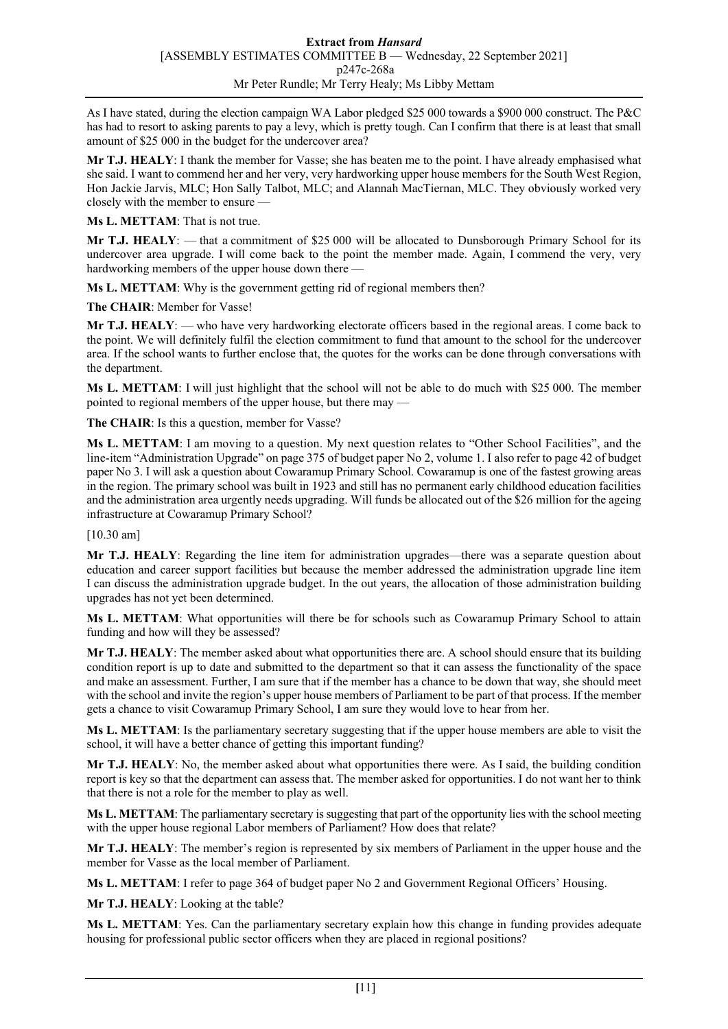As I have stated, during the election campaign WA Labor pledged \$25 000 towards a \$900 000 construct. The P&C has had to resort to asking parents to pay a levy, which is pretty tough. Can I confirm that there is at least that small amount of \$25 000 in the budget for the undercover area?

**Mr T.J. HEALY**: I thank the member for Vasse; she has beaten me to the point. I have already emphasised what she said. I want to commend her and her very, very hardworking upper house members for the South West Region, Hon Jackie Jarvis, MLC; Hon Sally Talbot, MLC; and Alannah MacTiernan, MLC. They obviously worked very closely with the member to ensure —

**Ms L. METTAM**: That is not true.

**Mr T.J. HEALY**: — that a commitment of \$25 000 will be allocated to Dunsborough Primary School for its undercover area upgrade. I will come back to the point the member made. Again, I commend the very, very hardworking members of the upper house down there —

**Ms L. METTAM**: Why is the government getting rid of regional members then?

**The CHAIR**: Member for Vasse!

**Mr T.J. HEALY**: — who have very hardworking electorate officers based in the regional areas. I come back to the point. We will definitely fulfil the election commitment to fund that amount to the school for the undercover area. If the school wants to further enclose that, the quotes for the works can be done through conversations with the department.

**Ms L. METTAM**: I will just highlight that the school will not be able to do much with \$25 000. The member pointed to regional members of the upper house, but there may —

**The CHAIR**: Is this a question, member for Vasse?

**Ms L. METTAM**: I am moving to a question. My next question relates to "Other School Facilities", and the line-item "Administration Upgrade" on page 375 of budget paper No 2, volume 1. I also refer to page 42 of budget paper No 3. I will ask a question about Cowaramup Primary School. Cowaramup is one of the fastest growing areas in the region. The primary school was built in 1923 and still has no permanent early childhood education facilities and the administration area urgently needs upgrading. Will funds be allocated out of the \$26 million for the ageing infrastructure at Cowaramup Primary School?

[10.30 am]

**Mr T.J. HEALY**: Regarding the line item for administration upgrades—there was a separate question about education and career support facilities but because the member addressed the administration upgrade line item I can discuss the administration upgrade budget. In the out years, the allocation of those administration building upgrades has not yet been determined.

**Ms L. METTAM**: What opportunities will there be for schools such as Cowaramup Primary School to attain funding and how will they be assessed?

**Mr T.J. HEALY**: The member asked about what opportunities there are. A school should ensure that its building condition report is up to date and submitted to the department so that it can assess the functionality of the space and make an assessment. Further, I am sure that if the member has a chance to be down that way, she should meet with the school and invite the region's upper house members of Parliament to be part of that process. If the member gets a chance to visit Cowaramup Primary School, I am sure they would love to hear from her.

**Ms L. METTAM**: Is the parliamentary secretary suggesting that if the upper house members are able to visit the school, it will have a better chance of getting this important funding?

**Mr T.J. HEALY**: No, the member asked about what opportunities there were. As I said, the building condition report is key so that the department can assess that. The member asked for opportunities. I do not want her to think that there is not a role for the member to play as well.

**Ms L. METTAM:** The parliamentary secretary is suggesting that part of the opportunity lies with the school meeting with the upper house regional Labor members of Parliament? How does that relate?

**Mr T.J. HEALY**: The member's region is represented by six members of Parliament in the upper house and the member for Vasse as the local member of Parliament.

**Ms L. METTAM**: I refer to page 364 of budget paper No 2 and Government Regional Officers' Housing.

**Mr T.J. HEALY**: Looking at the table?

**Ms L. METTAM**: Yes. Can the parliamentary secretary explain how this change in funding provides adequate housing for professional public sector officers when they are placed in regional positions?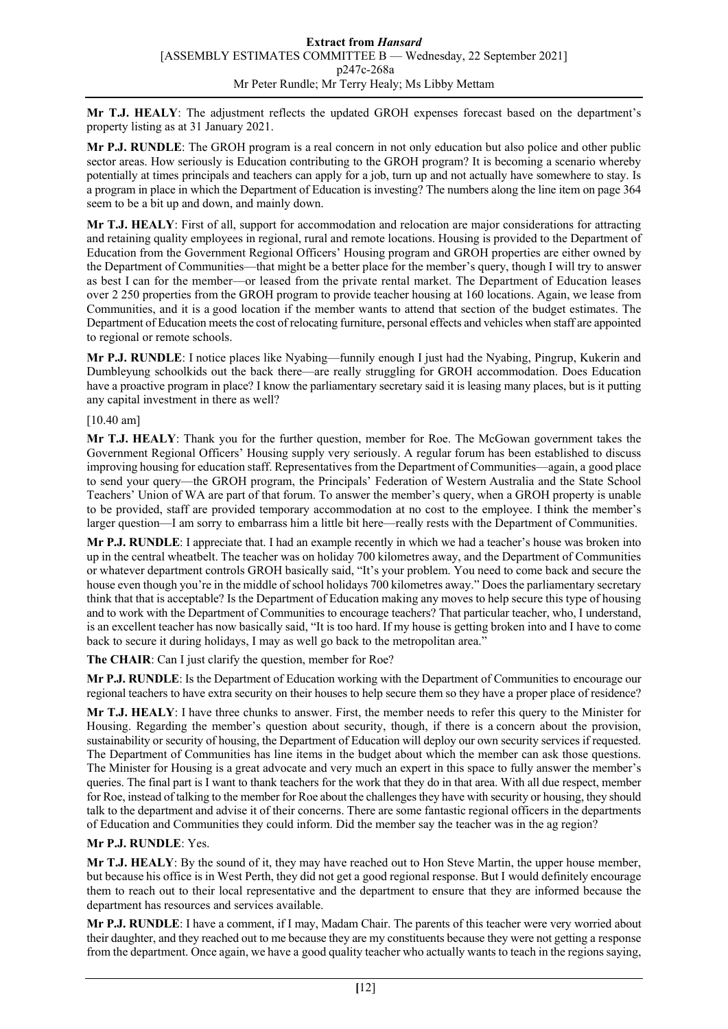**Mr T.J. HEALY**: The adjustment reflects the updated GROH expenses forecast based on the department's property listing as at 31 January 2021.

**Mr P.J. RUNDLE**: The GROH program is a real concern in not only education but also police and other public sector areas. How seriously is Education contributing to the GROH program? It is becoming a scenario whereby potentially at times principals and teachers can apply for a job, turn up and not actually have somewhere to stay. Is a program in place in which the Department of Education is investing? The numbers along the line item on page 364 seem to be a bit up and down, and mainly down.

**Mr T.J. HEALY**: First of all, support for accommodation and relocation are major considerations for attracting and retaining quality employees in regional, rural and remote locations. Housing is provided to the Department of Education from the Government Regional Officers' Housing program and GROH properties are either owned by the Department of Communities—that might be a better place for the member's query, though I will try to answer as best I can for the member—or leased from the private rental market. The Department of Education leases over 2 250 properties from the GROH program to provide teacher housing at 160 locations. Again, we lease from Communities, and it is a good location if the member wants to attend that section of the budget estimates. The Department of Education meets the cost of relocating furniture, personal effects and vehicles when staff are appointed to regional or remote schools.

**Mr P.J. RUNDLE**: I notice places like Nyabing—funnily enough I just had the Nyabing, Pingrup, Kukerin and Dumbleyung schoolkids out the back there—are really struggling for GROH accommodation. Does Education have a proactive program in place? I know the parliamentary secretary said it is leasing many places, but is it putting any capital investment in there as well?

#### [10.40 am]

**Mr T.J. HEALY**: Thank you for the further question, member for Roe. The McGowan government takes the Government Regional Officers' Housing supply very seriously. A regular forum has been established to discuss improving housing for education staff. Representatives from the Department of Communities—again, a good place to send your query—the GROH program, the Principals' Federation of Western Australia and the State School Teachers' Union of WA are part of that forum. To answer the member's query, when a GROH property is unable to be provided, staff are provided temporary accommodation at no cost to the employee. I think the member's larger question—I am sorry to embarrass him a little bit here—really rests with the Department of Communities.

**Mr P.J. RUNDLE**: I appreciate that. I had an example recently in which we had a teacher's house was broken into up in the central wheatbelt. The teacher was on holiday 700 kilometres away, and the Department of Communities or whatever department controls GROH basically said, "It's your problem. You need to come back and secure the house even though you're in the middle of school holidays 700 kilometres away." Does the parliamentary secretary think that that is acceptable? Is the Department of Education making any moves to help secure this type of housing and to work with the Department of Communities to encourage teachers? That particular teacher, who, I understand, is an excellent teacher has now basically said, "It is too hard. If my house is getting broken into and I have to come back to secure it during holidays, I may as well go back to the metropolitan area."

**The CHAIR**: Can I just clarify the question, member for Roe?

**Mr P.J. RUNDLE**: Is the Department of Education working with the Department of Communities to encourage our regional teachers to have extra security on their houses to help secure them so they have a proper place of residence?

**Mr T.J. HEALY**: I have three chunks to answer. First, the member needs to refer this query to the Minister for Housing. Regarding the member's question about security, though, if there is a concern about the provision, sustainability or security of housing, the Department of Education will deploy our own security services if requested. The Department of Communities has line items in the budget about which the member can ask those questions. The Minister for Housing is a great advocate and very much an expert in this space to fully answer the member's queries. The final part is I want to thank teachers for the work that they do in that area. With all due respect, member for Roe, instead of talking to the member for Roe about the challenges they have with security or housing, they should talk to the department and advise it of their concerns. There are some fantastic regional officers in the departments of Education and Communities they could inform. Did the member say the teacher was in the ag region?

# **Mr P.J. RUNDLE**: Yes.

**Mr T.J. HEALY**: By the sound of it, they may have reached out to Hon Steve Martin, the upper house member, but because his office is in West Perth, they did not get a good regional response. But I would definitely encourage them to reach out to their local representative and the department to ensure that they are informed because the department has resources and services available.

**Mr P.J. RUNDLE**: I have a comment, if I may, Madam Chair. The parents of this teacher were very worried about their daughter, and they reached out to me because they are my constituents because they were not getting a response from the department. Once again, we have a good quality teacher who actually wants to teach in the regions saying,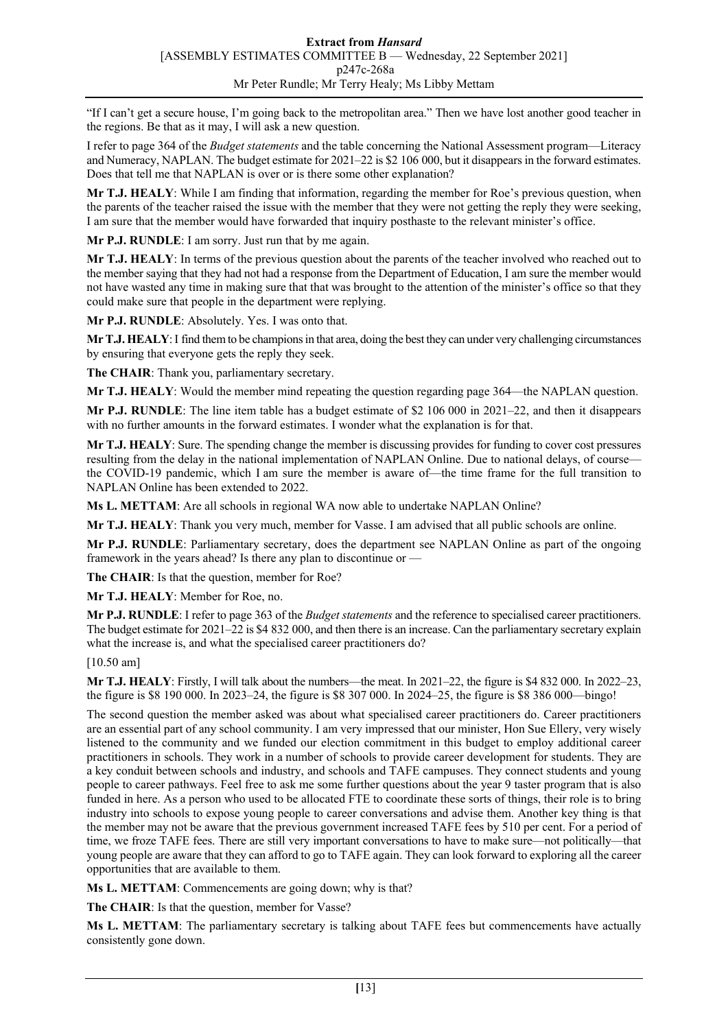"If I can't get a secure house, I'm going back to the metropolitan area." Then we have lost another good teacher in the regions. Be that as it may, I will ask a new question.

I refer to page 364 of the *Budget statements* and the table concerning the National Assessment program—Literacy and Numeracy, NAPLAN. The budget estimate for 2021–22 is \$2 106 000, but it disappears in the forward estimates. Does that tell me that NAPLAN is over or is there some other explanation?

**Mr T.J. HEALY**: While I am finding that information, regarding the member for Roe's previous question, when the parents of the teacher raised the issue with the member that they were not getting the reply they were seeking, I am sure that the member would have forwarded that inquiry posthaste to the relevant minister's office.

**Mr P.J. RUNDLE**: I am sorry. Just run that by me again.

**Mr T.J. HEALY**: In terms of the previous question about the parents of the teacher involved who reached out to the member saying that they had not had a response from the Department of Education, I am sure the member would not have wasted any time in making sure that that was brought to the attention of the minister's office so that they could make sure that people in the department were replying.

**Mr P.J. RUNDLE**: Absolutely. Yes. I was onto that.

**Mr T.J. HEALY**:I find them to be champions in that area, doing the best they can under very challenging circumstances by ensuring that everyone gets the reply they seek.

**The CHAIR**: Thank you, parliamentary secretary.

**Mr T.J. HEALY**: Would the member mind repeating the question regarding page 364—the NAPLAN question.

**Mr P.J. RUNDLE**: The line item table has a budget estimate of \$2 106 000 in 2021–22, and then it disappears with no further amounts in the forward estimates. I wonder what the explanation is for that.

**Mr T.J. HEALY**: Sure. The spending change the member is discussing provides for funding to cover cost pressures resulting from the delay in the national implementation of NAPLAN Online. Due to national delays, of course the COVID-19 pandemic, which I am sure the member is aware of—the time frame for the full transition to NAPLAN Online has been extended to 2022.

**Ms L. METTAM**: Are all schools in regional WA now able to undertake NAPLAN Online?

**Mr T.J. HEALY**: Thank you very much, member for Vasse. I am advised that all public schools are online.

**Mr P.J. RUNDLE**: Parliamentary secretary, does the department see NAPLAN Online as part of the ongoing framework in the years ahead? Is there any plan to discontinue or —

**The CHAIR**: Is that the question, member for Roe?

**Mr T.J. HEALY**: Member for Roe, no.

**Mr P.J. RUNDLE**: I refer to page 363 of the *Budget statements* and the reference to specialised career practitioners. The budget estimate for 2021–22 is \$4 832 000, and then there is an increase. Can the parliamentary secretary explain what the increase is, and what the specialised career practitioners do?

[10.50 am]

**Mr T.J. HEALY**: Firstly, I will talk about the numbers—the meat. In 2021–22, the figure is \$4 832 000. In 2022–23, the figure is \$8 190 000. In 2023–24, the figure is \$8 307 000. In 2024–25, the figure is \$8 386 000—bingo!

The second question the member asked was about what specialised career practitioners do. Career practitioners are an essential part of any school community. I am very impressed that our minister, Hon Sue Ellery, very wisely listened to the community and we funded our election commitment in this budget to employ additional career practitioners in schools. They work in a number of schools to provide career development for students. They are a key conduit between schools and industry, and schools and TAFE campuses. They connect students and young people to career pathways. Feel free to ask me some further questions about the year 9 taster program that is also funded in here. As a person who used to be allocated FTE to coordinate these sorts of things, their role is to bring industry into schools to expose young people to career conversations and advise them. Another key thing is that the member may not be aware that the previous government increased TAFE fees by 510 per cent. For a period of time, we froze TAFE fees. There are still very important conversations to have to make sure—not politically—that young people are aware that they can afford to go to TAFE again. They can look forward to exploring all the career opportunities that are available to them.

**Ms L. METTAM**: Commencements are going down; why is that?

**The CHAIR**: Is that the question, member for Vasse?

**Ms L. METTAM**: The parliamentary secretary is talking about TAFE fees but commencements have actually consistently gone down.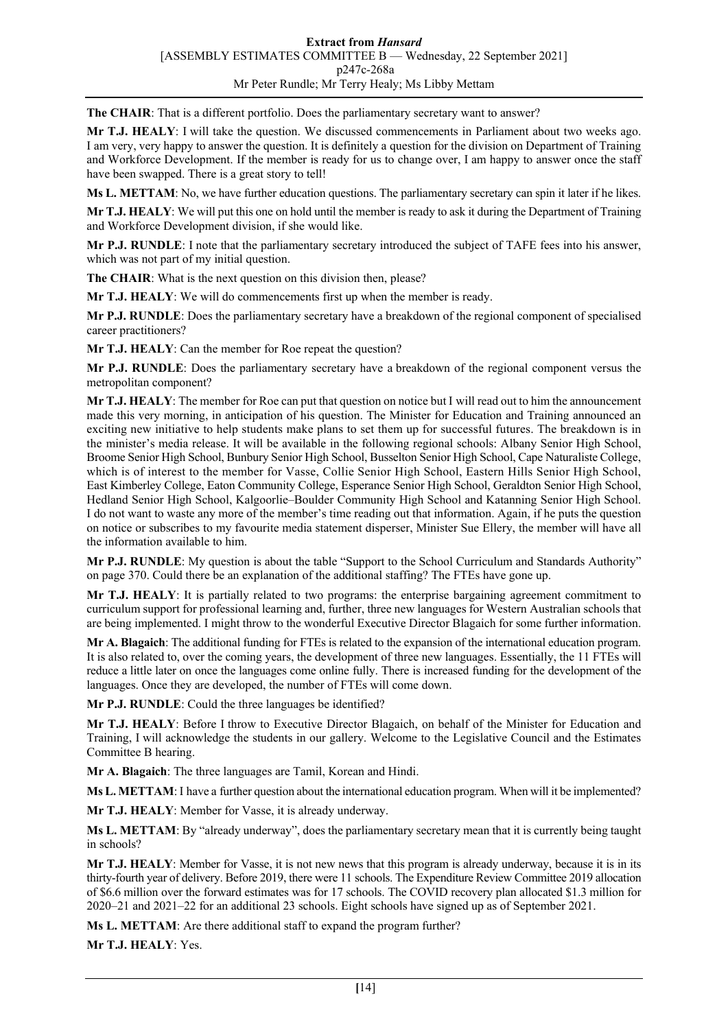**The CHAIR**: That is a different portfolio. Does the parliamentary secretary want to answer?

**Mr T.J. HEALY**: I will take the question. We discussed commencements in Parliament about two weeks ago. I am very, very happy to answer the question. It is definitely a question for the division on Department of Training and Workforce Development. If the member is ready for us to change over, I am happy to answer once the staff have been swapped. There is a great story to tell!

**Ms L. METTAM**: No, we have further education questions. The parliamentary secretary can spin it later if he likes.

**Mr T.J. HEALY**: We will put this one on hold until the member is ready to ask it during the Department of Training and Workforce Development division, if she would like.

**Mr P.J. RUNDLE**: I note that the parliamentary secretary introduced the subject of TAFE fees into his answer, which was not part of my initial question.

**The CHAIR**: What is the next question on this division then, please?

**Mr T.J. HEALY**: We will do commencements first up when the member is ready.

**Mr P.J. RUNDLE**: Does the parliamentary secretary have a breakdown of the regional component of specialised career practitioners?

**Mr T.J. HEALY**: Can the member for Roe repeat the question?

**Mr P.J. RUNDLE**: Does the parliamentary secretary have a breakdown of the regional component versus the metropolitan component?

**Mr T.J. HEALY**: The member for Roe can put that question on notice but I will read out to him the announcement made this very morning, in anticipation of his question. The Minister for Education and Training announced an exciting new initiative to help students make plans to set them up for successful futures. The breakdown is in the minister's media release. It will be available in the following regional schools: Albany Senior High School, Broome Senior High School, Bunbury Senior High School, Busselton Senior High School, Cape Naturaliste College, which is of interest to the member for Vasse, Collie Senior High School, Eastern Hills Senior High School, East Kimberley College, Eaton Community College, Esperance Senior High School, Geraldton Senior High School, Hedland Senior High School, Kalgoorlie–Boulder Community High School and Katanning Senior High School. I do not want to waste any more of the member's time reading out that information. Again, if he puts the question on notice or subscribes to my favourite media statement disperser, Minister Sue Ellery, the member will have all the information available to him.

**Mr P.J. RUNDLE**: My question is about the table "Support to the School Curriculum and Standards Authority" on page 370. Could there be an explanation of the additional staffing? The FTEs have gone up.

**Mr T.J. HEALY**: It is partially related to two programs: the enterprise bargaining agreement commitment to curriculum support for professional learning and, further, three new languages for Western Australian schools that are being implemented. I might throw to the wonderful Executive Director Blagaich for some further information.

**Mr A. Blagaich**: The additional funding for FTEs is related to the expansion of the international education program. It is also related to, over the coming years, the development of three new languages. Essentially, the 11 FTEs will reduce a little later on once the languages come online fully. There is increased funding for the development of the languages. Once they are developed, the number of FTEs will come down.

**Mr P.J. RUNDLE**: Could the three languages be identified?

**Mr T.J. HEALY**: Before I throw to Executive Director Blagaich, on behalf of the Minister for Education and Training, I will acknowledge the students in our gallery. Welcome to the Legislative Council and the Estimates Committee B hearing.

**Mr A. Blagaich**: The three languages are Tamil, Korean and Hindi.

**Ms L. METTAM**: I have a further question about the international education program. When will it be implemented?

**Mr T.J. HEALY**: Member for Vasse, it is already underway.

**Ms L. METTAM**: By "already underway", does the parliamentary secretary mean that it is currently being taught in schools?

**Mr T.J. HEALY**: Member for Vasse, it is not new news that this program is already underway, because it is in its thirty-fourth year of delivery. Before 2019, there were 11 schools. The Expenditure Review Committee 2019 allocation of \$6.6 million over the forward estimates was for 17 schools. The COVID recovery plan allocated \$1.3 million for 2020–21 and 2021–22 for an additional 23 schools. Eight schools have signed up as of September 2021.

**Ms L. METTAM**: Are there additional staff to expand the program further?

**Mr T.J. HEALY**: Yes.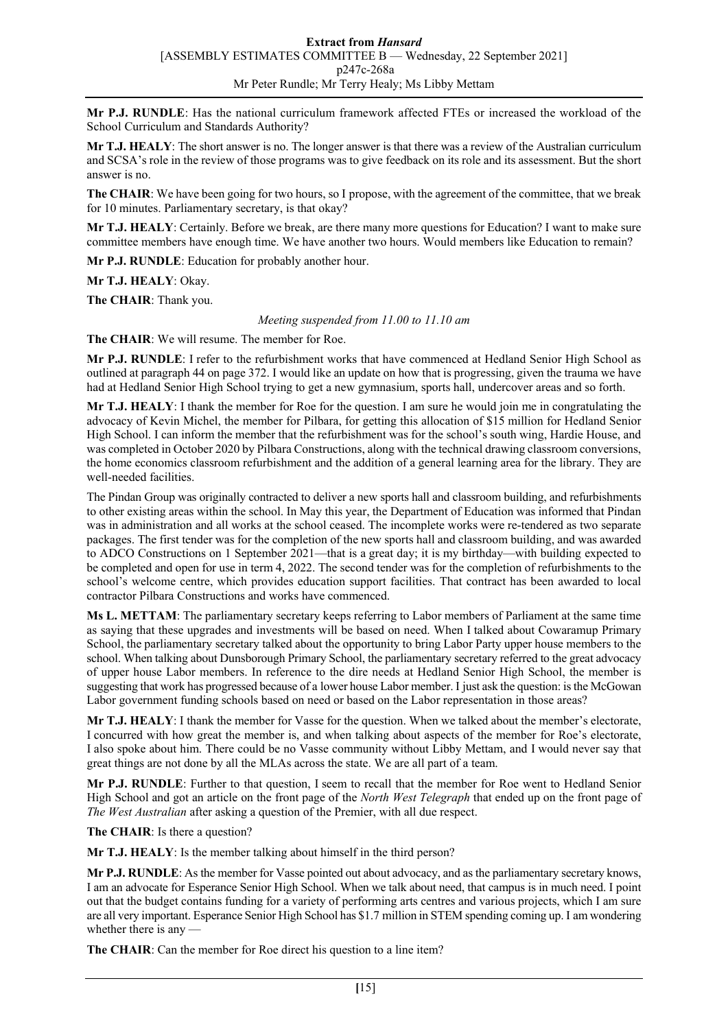**Mr P.J. RUNDLE**: Has the national curriculum framework affected FTEs or increased the workload of the School Curriculum and Standards Authority?

**Mr T.J. HEALY**: The short answer is no. The longer answer is that there was a review of the Australian curriculum and SCSA's role in the review of those programs was to give feedback on its role and its assessment. But the short answer is no.

**The CHAIR**: We have been going for two hours, so I propose, with the agreement of the committee, that we break for 10 minutes. Parliamentary secretary, is that okay?

**Mr T.J. HEALY**: Certainly. Before we break, are there many more questions for Education? I want to make sure committee members have enough time. We have another two hours. Would members like Education to remain?

**Mr P.J. RUNDLE**: Education for probably another hour.

**Mr T.J. HEALY**: Okay.

**The CHAIR**: Thank you.

*Meeting suspended from 11.00 to 11.10 am*

**The CHAIR**: We will resume. The member for Roe.

**Mr P.J. RUNDLE**: I refer to the refurbishment works that have commenced at Hedland Senior High School as outlined at paragraph 44 on page 372. I would like an update on how that is progressing, given the trauma we have had at Hedland Senior High School trying to get a new gymnasium, sports hall, undercover areas and so forth.

**Mr T.J. HEALY**: I thank the member for Roe for the question. I am sure he would join me in congratulating the advocacy of Kevin Michel, the member for Pilbara, for getting this allocation of \$15 million for Hedland Senior High School. I can inform the member that the refurbishment was for the school's south wing, Hardie House, and was completed in October 2020 by Pilbara Constructions, along with the technical drawing classroom conversions, the home economics classroom refurbishment and the addition of a general learning area for the library. They are well-needed facilities.

The Pindan Group was originally contracted to deliver a new sports hall and classroom building, and refurbishments to other existing areas within the school. In May this year, the Department of Education was informed that Pindan was in administration and all works at the school ceased. The incomplete works were re-tendered as two separate packages. The first tender was for the completion of the new sports hall and classroom building, and was awarded to ADCO Constructions on 1 September 2021—that is a great day; it is my birthday—with building expected to be completed and open for use in term 4, 2022. The second tender was for the completion of refurbishments to the school's welcome centre, which provides education support facilities. That contract has been awarded to local contractor Pilbara Constructions and works have commenced.

**Ms L. METTAM**: The parliamentary secretary keeps referring to Labor members of Parliament at the same time as saying that these upgrades and investments will be based on need. When I talked about Cowaramup Primary School, the parliamentary secretary talked about the opportunity to bring Labor Party upper house members to the school. When talking about Dunsborough Primary School, the parliamentary secretary referred to the great advocacy of upper house Labor members. In reference to the dire needs at Hedland Senior High School, the member is suggesting that work has progressed because of a lower house Labor member. I just ask the question: is the McGowan Labor government funding schools based on need or based on the Labor representation in those areas?

**Mr T.J. HEALY**: I thank the member for Vasse for the question. When we talked about the member's electorate, I concurred with how great the member is, and when talking about aspects of the member for Roe's electorate, I also spoke about him. There could be no Vasse community without Libby Mettam, and I would never say that great things are not done by all the MLAs across the state. We are all part of a team.

**Mr P.J. RUNDLE**: Further to that question, I seem to recall that the member for Roe went to Hedland Senior High School and got an article on the front page of the *North West Telegraph* that ended up on the front page of *The West Australian* after asking a question of the Premier, with all due respect.

**The CHAIR**: Is there a question?

**Mr T.J. HEALY**: Is the member talking about himself in the third person?

**Mr P.J. RUNDLE**: As the member for Vasse pointed out about advocacy, and as the parliamentary secretary knows, I am an advocate for Esperance Senior High School. When we talk about need, that campus is in much need. I point out that the budget contains funding for a variety of performing arts centres and various projects, which I am sure are all very important. Esperance Senior High School has \$1.7 million in STEM spending coming up. I am wondering whether there is any -

**The CHAIR**: Can the member for Roe direct his question to a line item?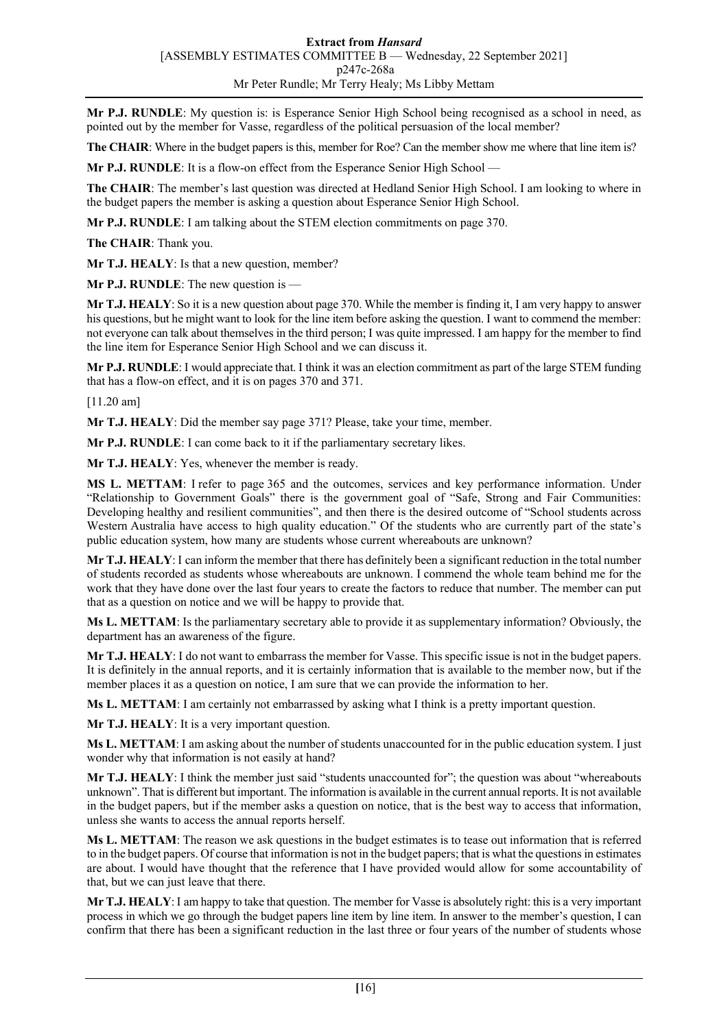**Mr P.J. RUNDLE**: My question is: is Esperance Senior High School being recognised as a school in need, as pointed out by the member for Vasse, regardless of the political persuasion of the local member?

**The CHAIR**: Where in the budget papers is this, member for Roe? Can the member show me where that line item is?

**Mr P.J. RUNDLE**: It is a flow-on effect from the Esperance Senior High School —

**The CHAIR**: The member's last question was directed at Hedland Senior High School. I am looking to where in the budget papers the member is asking a question about Esperance Senior High School.

**Mr P.J. RUNDLE**: I am talking about the STEM election commitments on page 370.

**The CHAIR**: Thank you.

**Mr T.J. HEALY**: Is that a new question, member?

**Mr P.J. RUNDLE**: The new question is —

**Mr T.J. HEALY**: So it is a new question about page 370. While the member is finding it, I am very happy to answer his questions, but he might want to look for the line item before asking the question. I want to commend the member: not everyone can talk about themselves in the third person; I was quite impressed. I am happy for the member to find the line item for Esperance Senior High School and we can discuss it.

**Mr P.J. RUNDLE**: I would appreciate that. I think it was an election commitment as part of the large STEM funding that has a flow-on effect, and it is on pages 370 and 371.

[11.20 am]

**Mr T.J. HEALY**: Did the member say page 371? Please, take your time, member.

**Mr P.J. RUNDLE**: I can come back to it if the parliamentary secretary likes.

**Mr T.J. HEALY**: Yes, whenever the member is ready.

**MS L. METTAM**: I refer to page 365 and the outcomes, services and key performance information. Under "Relationship to Government Goals" there is the government goal of "Safe, Strong and Fair Communities: Developing healthy and resilient communities", and then there is the desired outcome of "School students across Western Australia have access to high quality education." Of the students who are currently part of the state's public education system, how many are students whose current whereabouts are unknown?

**Mr T.J. HEALY**: I can inform the member that there has definitely been a significant reduction in the total number of students recorded as students whose whereabouts are unknown. I commend the whole team behind me for the work that they have done over the last four years to create the factors to reduce that number. The member can put that as a question on notice and we will be happy to provide that.

**Ms L. METTAM**: Is the parliamentary secretary able to provide it as supplementary information? Obviously, the department has an awareness of the figure.

**Mr T.J. HEALY**: I do not want to embarrass the member for Vasse. This specific issue is not in the budget papers. It is definitely in the annual reports, and it is certainly information that is available to the member now, but if the member places it as a question on notice, I am sure that we can provide the information to her.

**Ms L. METTAM**: I am certainly not embarrassed by asking what I think is a pretty important question.

**Mr T.J. HEALY**: It is a very important question.

**Ms L. METTAM**: I am asking about the number of students unaccounted for in the public education system. I just wonder why that information is not easily at hand?

**Mr T.J. HEALY**: I think the member just said "students unaccounted for"; the question was about "whereabouts" unknown". That is different but important. The information is available in the current annual reports. It is not available in the budget papers, but if the member asks a question on notice, that is the best way to access that information, unless she wants to access the annual reports herself.

**Ms L. METTAM**: The reason we ask questions in the budget estimates is to tease out information that is referred to in the budget papers. Of course that information is not in the budget papers; that is what the questions in estimates are about. I would have thought that the reference that I have provided would allow for some accountability of that, but we can just leave that there.

**Mr T.J. HEALY**: I am happy to take that question. The member for Vasse is absolutely right: this is a very important process in which we go through the budget papers line item by line item. In answer to the member's question, I can confirm that there has been a significant reduction in the last three or four years of the number of students whose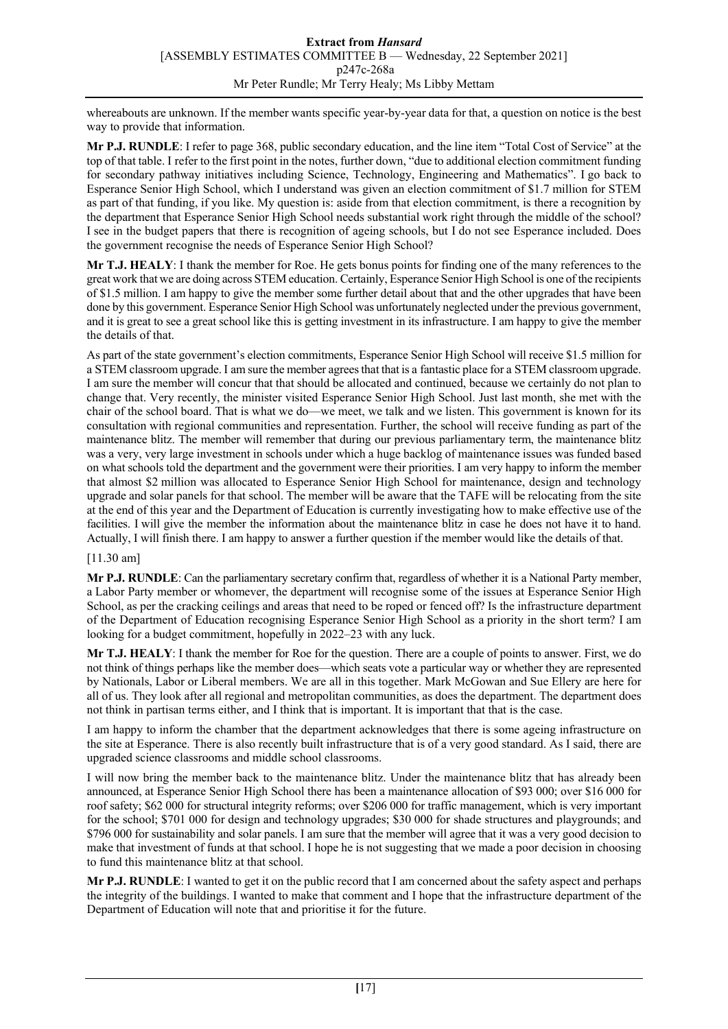whereabouts are unknown. If the member wants specific year-by-year data for that, a question on notice is the best way to provide that information.

**Mr P.J. RUNDLE**: I refer to page 368, public secondary education, and the line item "Total Cost of Service" at the top of that table. I refer to the first point in the notes, further down, "due to additional election commitment funding for secondary pathway initiatives including Science, Technology, Engineering and Mathematics". I go back to Esperance Senior High School, which I understand was given an election commitment of \$1.7 million for STEM as part of that funding, if you like. My question is: aside from that election commitment, is there a recognition by the department that Esperance Senior High School needs substantial work right through the middle of the school? I see in the budget papers that there is recognition of ageing schools, but I do not see Esperance included. Does the government recognise the needs of Esperance Senior High School?

**Mr T.J. HEALY**: I thank the member for Roe. He gets bonus points for finding one of the many references to the great work that we are doing across STEM education. Certainly, Esperance Senior High School is one of the recipients of \$1.5 million. I am happy to give the member some further detail about that and the other upgrades that have been done by this government. Esperance Senior High School was unfortunately neglected under the previous government, and it is great to see a great school like this is getting investment in its infrastructure. I am happy to give the member the details of that.

As part of the state government's election commitments, Esperance Senior High School will receive \$1.5 million for a STEM classroom upgrade. I am sure the member agrees that that is a fantastic place for a STEM classroom upgrade. I am sure the member will concur that that should be allocated and continued, because we certainly do not plan to change that. Very recently, the minister visited Esperance Senior High School. Just last month, she met with the chair of the school board. That is what we do—we meet, we talk and we listen. This government is known for its consultation with regional communities and representation. Further, the school will receive funding as part of the maintenance blitz. The member will remember that during our previous parliamentary term, the maintenance blitz was a very, very large investment in schools under which a huge backlog of maintenance issues was funded based on what schools told the department and the government were their priorities. I am very happy to inform the member that almost \$2 million was allocated to Esperance Senior High School for maintenance, design and technology upgrade and solar panels for that school. The member will be aware that the TAFE will be relocating from the site at the end of this year and the Department of Education is currently investigating how to make effective use of the facilities. I will give the member the information about the maintenance blitz in case he does not have it to hand. Actually, I will finish there. I am happy to answer a further question if the member would like the details of that.

# [11.30 am]

**Mr P.J. RUNDLE**: Can the parliamentary secretary confirm that, regardless of whether it is a National Party member, a Labor Party member or whomever, the department will recognise some of the issues at Esperance Senior High School, as per the cracking ceilings and areas that need to be roped or fenced off? Is the infrastructure department of the Department of Education recognising Esperance Senior High School as a priority in the short term? I am looking for a budget commitment, hopefully in 2022–23 with any luck.

**Mr T.J. HEALY**: I thank the member for Roe for the question. There are a couple of points to answer. First, we do not think of things perhaps like the member does—which seats vote a particular way or whether they are represented by Nationals, Labor or Liberal members. We are all in this together. Mark McGowan and Sue Ellery are here for all of us. They look after all regional and metropolitan communities, as does the department. The department does not think in partisan terms either, and I think that is important. It is important that that is the case.

I am happy to inform the chamber that the department acknowledges that there is some ageing infrastructure on the site at Esperance. There is also recently built infrastructure that is of a very good standard. As I said, there are upgraded science classrooms and middle school classrooms.

I will now bring the member back to the maintenance blitz. Under the maintenance blitz that has already been announced, at Esperance Senior High School there has been a maintenance allocation of \$93 000; over \$16 000 for roof safety; \$62 000 for structural integrity reforms; over \$206 000 for traffic management, which is very important for the school; \$701 000 for design and technology upgrades; \$30 000 for shade structures and playgrounds; and \$796 000 for sustainability and solar panels. I am sure that the member will agree that it was a very good decision to make that investment of funds at that school. I hope he is not suggesting that we made a poor decision in choosing to fund this maintenance blitz at that school.

**Mr P.J. RUNDLE**: I wanted to get it on the public record that I am concerned about the safety aspect and perhaps the integrity of the buildings. I wanted to make that comment and I hope that the infrastructure department of the Department of Education will note that and prioritise it for the future.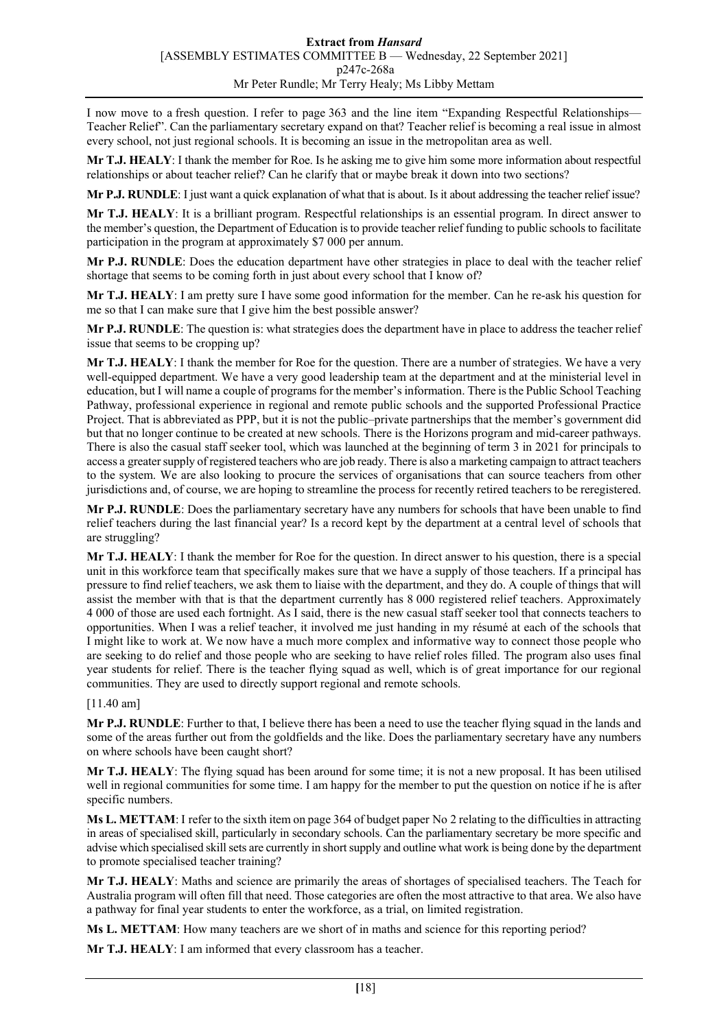I now move to a fresh question. I refer to page 363 and the line item "Expanding Respectful Relationships— Teacher Relief". Can the parliamentary secretary expand on that? Teacher relief is becoming a real issue in almost every school, not just regional schools. It is becoming an issue in the metropolitan area as well.

**Mr T.J. HEALY**: I thank the member for Roe. Is he asking me to give him some more information about respectful relationships or about teacher relief? Can he clarify that or maybe break it down into two sections?

**Mr P.J. RUNDLE**: I just want a quick explanation of what that is about. Is it about addressing the teacher relief issue?

**Mr T.J. HEALY**: It is a brilliant program. Respectful relationships is an essential program. In direct answer to the member's question, the Department of Education is to provide teacher relief funding to public schools to facilitate participation in the program at approximately \$7 000 per annum.

**Mr P.J. RUNDLE**: Does the education department have other strategies in place to deal with the teacher relief shortage that seems to be coming forth in just about every school that I know of?

**Mr T.J. HEALY**: I am pretty sure I have some good information for the member. Can he re-ask his question for me so that I can make sure that I give him the best possible answer?

**Mr P.J. RUNDLE**: The question is: what strategies does the department have in place to address the teacher relief issue that seems to be cropping up?

**Mr T.J. HEALY**: I thank the member for Roe for the question. There are a number of strategies. We have a very well-equipped department. We have a very good leadership team at the department and at the ministerial level in education, but I will name a couple of programs for the member's information. There is the Public School Teaching Pathway, professional experience in regional and remote public schools and the supported Professional Practice Project. That is abbreviated as PPP, but it is not the public–private partnerships that the member's government did but that no longer continue to be created at new schools. There is the Horizons program and mid-career pathways. There is also the casual staff seeker tool, which was launched at the beginning of term 3 in 2021 for principals to access a greater supply of registered teachers who are job ready. There is also a marketing campaign to attract teachers to the system. We are also looking to procure the services of organisations that can source teachers from other jurisdictions and, of course, we are hoping to streamline the process for recently retired teachers to be reregistered.

**Mr P.J. RUNDLE**: Does the parliamentary secretary have any numbers for schools that have been unable to find relief teachers during the last financial year? Is a record kept by the department at a central level of schools that are struggling?

**Mr T.J. HEALY**: I thank the member for Roe for the question. In direct answer to his question, there is a special unit in this workforce team that specifically makes sure that we have a supply of those teachers. If a principal has pressure to find relief teachers, we ask them to liaise with the department, and they do. A couple of things that will assist the member with that is that the department currently has 8 000 registered relief teachers. Approximately 4 000 of those are used each fortnight. As I said, there is the new casual staff seeker tool that connects teachers to opportunities. When I was a relief teacher, it involved me just handing in my résumé at each of the schools that I might like to work at. We now have a much more complex and informative way to connect those people who are seeking to do relief and those people who are seeking to have relief roles filled. The program also uses final year students for relief. There is the teacher flying squad as well, which is of great importance for our regional communities. They are used to directly support regional and remote schools.

[11.40 am]

**Mr P.J. RUNDLE**: Further to that, I believe there has been a need to use the teacher flying squad in the lands and some of the areas further out from the goldfields and the like. Does the parliamentary secretary have any numbers on where schools have been caught short?

**Mr T.J. HEALY**: The flying squad has been around for some time; it is not a new proposal. It has been utilised well in regional communities for some time. I am happy for the member to put the question on notice if he is after specific numbers.

**Ms L. METTAM**: I refer to the sixth item on page 364 of budget paper No 2 relating to the difficulties in attracting in areas of specialised skill, particularly in secondary schools. Can the parliamentary secretary be more specific and advise which specialised skill sets are currently in short supply and outline what work is being done by the department to promote specialised teacher training?

**Mr T.J. HEALY**: Maths and science are primarily the areas of shortages of specialised teachers. The Teach for Australia program will often fill that need. Those categories are often the most attractive to that area. We also have a pathway for final year students to enter the workforce, as a trial, on limited registration.

**Ms L. METTAM**: How many teachers are we short of in maths and science for this reporting period?

**Mr T.J. HEALY**: I am informed that every classroom has a teacher.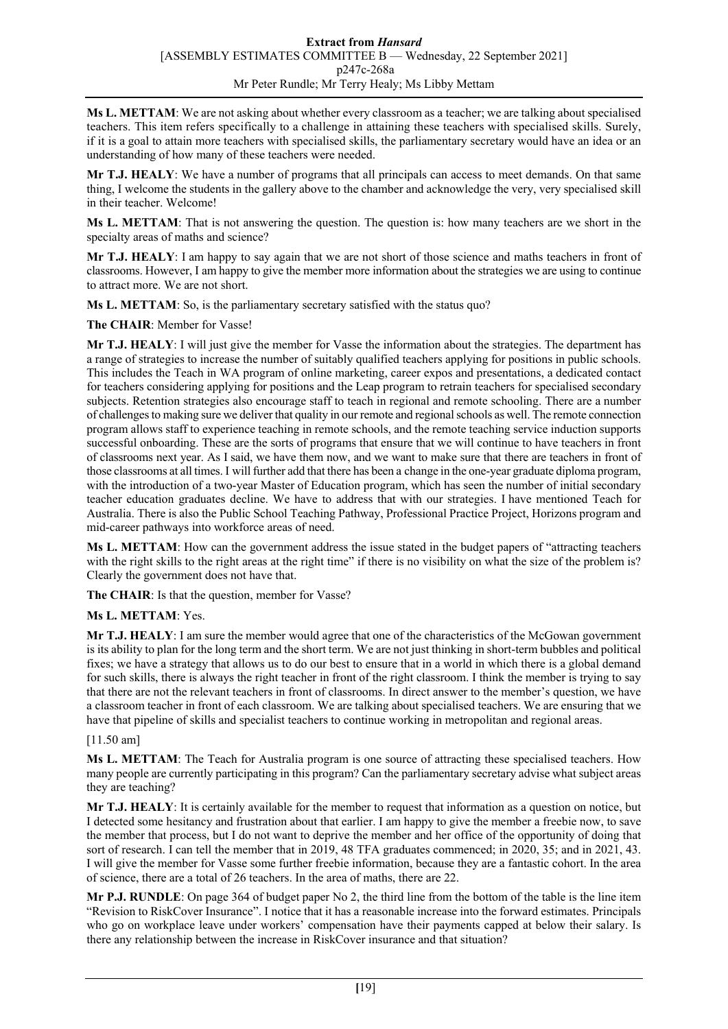**Ms L. METTAM**: We are not asking about whether every classroom as a teacher; we are talking about specialised teachers. This item refers specifically to a challenge in attaining these teachers with specialised skills. Surely, if it is a goal to attain more teachers with specialised skills, the parliamentary secretary would have an idea or an understanding of how many of these teachers were needed.

**Mr T.J. HEALY**: We have a number of programs that all principals can access to meet demands. On that same thing, I welcome the students in the gallery above to the chamber and acknowledge the very, very specialised skill in their teacher. Welcome!

**Ms L. METTAM**: That is not answering the question. The question is: how many teachers are we short in the specialty areas of maths and science?

**Mr T.J. HEALY**: I am happy to say again that we are not short of those science and maths teachers in front of classrooms. However, I am happy to give the member more information about the strategies we are using to continue to attract more. We are not short.

**Ms L. METTAM**: So, is the parliamentary secretary satisfied with the status quo?

**The CHAIR**: Member for Vasse!

**Mr T.J. HEALY**: I will just give the member for Vasse the information about the strategies. The department has a range of strategies to increase the number of suitably qualified teachers applying for positions in public schools. This includes the Teach in WA program of online marketing, career expos and presentations, a dedicated contact for teachers considering applying for positions and the Leap program to retrain teachers for specialised secondary subjects. Retention strategies also encourage staff to teach in regional and remote schooling. There are a number of challenges to making sure we deliver that quality in our remote and regional schools as well. The remote connection program allows staff to experience teaching in remote schools, and the remote teaching service induction supports successful onboarding. These are the sorts of programs that ensure that we will continue to have teachers in front of classrooms next year. As I said, we have them now, and we want to make sure that there are teachers in front of those classrooms at all times. I will further add that there has been a change in the one-year graduate diploma program, with the introduction of a two-year Master of Education program, which has seen the number of initial secondary teacher education graduates decline. We have to address that with our strategies. I have mentioned Teach for Australia. There is also the Public School Teaching Pathway, Professional Practice Project, Horizons program and mid-career pathways into workforce areas of need.

**Ms L. METTAM**: How can the government address the issue stated in the budget papers of "attracting teachers with the right skills to the right areas at the right time" if there is no visibility on what the size of the problem is? Clearly the government does not have that.

**The CHAIR**: Is that the question, member for Vasse?

#### **Ms L. METTAM**: Yes.

**Mr T.J. HEALY**: I am sure the member would agree that one of the characteristics of the McGowan government is its ability to plan for the long term and the short term. We are not just thinking in short-term bubbles and political fixes; we have a strategy that allows us to do our best to ensure that in a world in which there is a global demand for such skills, there is always the right teacher in front of the right classroom. I think the member is trying to say that there are not the relevant teachers in front of classrooms. In direct answer to the member's question, we have a classroom teacher in front of each classroom. We are talking about specialised teachers. We are ensuring that we have that pipeline of skills and specialist teachers to continue working in metropolitan and regional areas.

#### [11.50 am]

**Ms L. METTAM**: The Teach for Australia program is one source of attracting these specialised teachers. How many people are currently participating in this program? Can the parliamentary secretary advise what subject areas they are teaching?

**Mr T.J. HEALY**: It is certainly available for the member to request that information as a question on notice, but I detected some hesitancy and frustration about that earlier. I am happy to give the member a freebie now, to save the member that process, but I do not want to deprive the member and her office of the opportunity of doing that sort of research. I can tell the member that in 2019, 48 TFA graduates commenced; in 2020, 35; and in 2021, 43. I will give the member for Vasse some further freebie information, because they are a fantastic cohort. In the area of science, there are a total of 26 teachers. In the area of maths, there are 22.

**Mr P.J. RUNDLE**: On page 364 of budget paper No 2, the third line from the bottom of the table is the line item "Revision to RiskCover Insurance". I notice that it has a reasonable increase into the forward estimates. Principals who go on workplace leave under workers' compensation have their payments capped at below their salary. Is there any relationship between the increase in RiskCover insurance and that situation?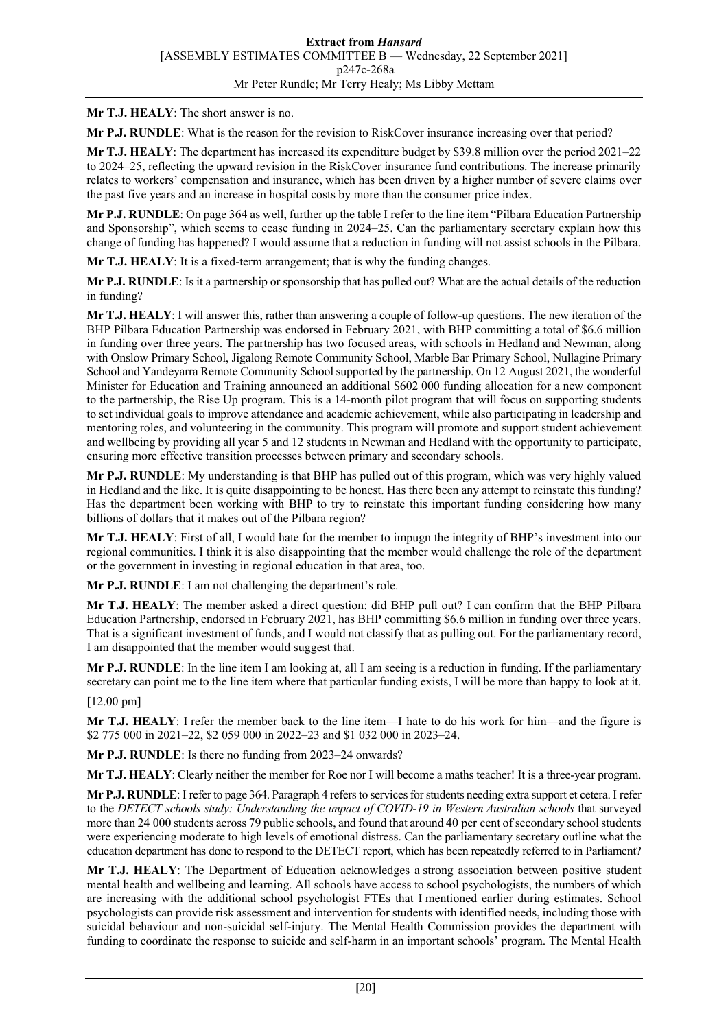**Mr T.J. HEALY**: The short answer is no.

**Mr P.J. RUNDLE**: What is the reason for the revision to RiskCover insurance increasing over that period?

**Mr T.J. HEALY**: The department has increased its expenditure budget by \$39.8 million over the period 2021–22 to 2024–25, reflecting the upward revision in the RiskCover insurance fund contributions. The increase primarily relates to workers' compensation and insurance, which has been driven by a higher number of severe claims over the past five years and an increase in hospital costs by more than the consumer price index.

**Mr P.J. RUNDLE**: On page 364 as well, further up the table I refer to the line item "Pilbara Education Partnership and Sponsorship", which seems to cease funding in 2024–25. Can the parliamentary secretary explain how this change of funding has happened? I would assume that a reduction in funding will not assist schools in the Pilbara.

**Mr T.J. HEALY**: It is a fixed-term arrangement; that is why the funding changes.

**Mr P.J. RUNDLE**: Is it a partnership or sponsorship that has pulled out? What are the actual details of the reduction in funding?

**Mr T.J. HEALY**: I will answer this, rather than answering a couple of follow-up questions. The new iteration of the BHP Pilbara Education Partnership was endorsed in February 2021, with BHP committing a total of \$6.6 million in funding over three years. The partnership has two focused areas, with schools in Hedland and Newman, along with Onslow Primary School, Jigalong Remote Community School, Marble Bar Primary School, Nullagine Primary School and Yandeyarra Remote Community School supported by the partnership. On 12 August 2021, the wonderful Minister for Education and Training announced an additional \$602 000 funding allocation for a new component to the partnership, the Rise Up program. This is a 14-month pilot program that will focus on supporting students to set individual goals to improve attendance and academic achievement, while also participating in leadership and mentoring roles, and volunteering in the community. This program will promote and support student achievement and wellbeing by providing all year 5 and 12 students in Newman and Hedland with the opportunity to participate, ensuring more effective transition processes between primary and secondary schools.

**Mr P.J. RUNDLE**: My understanding is that BHP has pulled out of this program, which was very highly valued in Hedland and the like. It is quite disappointing to be honest. Has there been any attempt to reinstate this funding? Has the department been working with BHP to try to reinstate this important funding considering how many billions of dollars that it makes out of the Pilbara region?

**Mr T.J. HEALY**: First of all, I would hate for the member to impugn the integrity of BHP's investment into our regional communities. I think it is also disappointing that the member would challenge the role of the department or the government in investing in regional education in that area, too.

**Mr P.J. RUNDLE**: I am not challenging the department's role.

**Mr T.J. HEALY**: The member asked a direct question: did BHP pull out? I can confirm that the BHP Pilbara Education Partnership, endorsed in February 2021, has BHP committing \$6.6 million in funding over three years. That is a significant investment of funds, and I would not classify that as pulling out. For the parliamentary record, I am disappointed that the member would suggest that.

**Mr P.J. RUNDLE**: In the line item I am looking at, all I am seeing is a reduction in funding. If the parliamentary secretary can point me to the line item where that particular funding exists, I will be more than happy to look at it.

[12.00 pm]

**Mr T.J. HEALY**: I refer the member back to the line item—I hate to do his work for him—and the figure is \$2 775 000 in 2021–22, \$2 059 000 in 2022–23 and \$1 032 000 in 2023–24.

**Mr P.J. RUNDLE**: Is there no funding from 2023–24 onwards?

**Mr T.J. HEALY**: Clearly neither the member for Roe nor I will become a maths teacher! It is a three-year program.

**Mr P.J. RUNDLE**: I refer to page 364. Paragraph 4 refers to services for students needing extra support et cetera. I refer to the *DETECT schools study: Understanding the impact of COVID-19 in Western Australian schools* that surveyed more than 24 000 students across 79 public schools, and found that around 40 per cent of secondary school students were experiencing moderate to high levels of emotional distress. Can the parliamentary secretary outline what the education department has done to respond to the DETECT report, which has been repeatedly referred to in Parliament?

**Mr T.J. HEALY**: The Department of Education acknowledges a strong association between positive student mental health and wellbeing and learning. All schools have access to school psychologists, the numbers of which are increasing with the additional school psychologist FTEs that I mentioned earlier during estimates. School psychologists can provide risk assessment and intervention for students with identified needs, including those with suicidal behaviour and non-suicidal self-injury. The Mental Health Commission provides the department with funding to coordinate the response to suicide and self-harm in an important schools' program. The Mental Health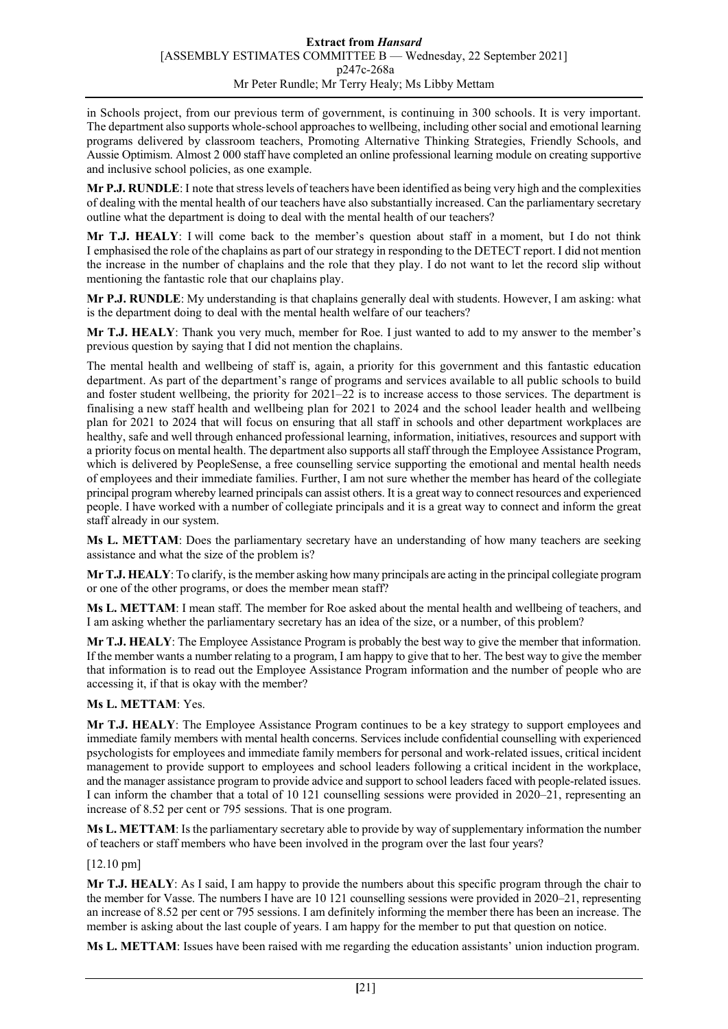in Schools project, from our previous term of government, is continuing in 300 schools. It is very important. The department also supports whole-school approaches to wellbeing, including other social and emotional learning programs delivered by classroom teachers, Promoting Alternative Thinking Strategies, Friendly Schools, and Aussie Optimism. Almost 2 000 staff have completed an online professional learning module on creating supportive and inclusive school policies, as one example.

**Mr P.J. RUNDLE**: I note that stress levels of teachers have been identified as being very high and the complexities of dealing with the mental health of our teachers have also substantially increased. Can the parliamentary secretary outline what the department is doing to deal with the mental health of our teachers?

**Mr T.J. HEALY**: I will come back to the member's question about staff in a moment, but I do not think I emphasised the role of the chaplains as part of our strategy in responding to the DETECT report. I did not mention the increase in the number of chaplains and the role that they play. I do not want to let the record slip without mentioning the fantastic role that our chaplains play.

**Mr P.J. RUNDLE**: My understanding is that chaplains generally deal with students. However, I am asking: what is the department doing to deal with the mental health welfare of our teachers?

**Mr T.J. HEALY**: Thank you very much, member for Roe. I just wanted to add to my answer to the member's previous question by saying that I did not mention the chaplains.

The mental health and wellbeing of staff is, again, a priority for this government and this fantastic education department. As part of the department's range of programs and services available to all public schools to build and foster student wellbeing, the priority for 2021–22 is to increase access to those services. The department is finalising a new staff health and wellbeing plan for 2021 to 2024 and the school leader health and wellbeing plan for 2021 to 2024 that will focus on ensuring that all staff in schools and other department workplaces are healthy, safe and well through enhanced professional learning, information, initiatives, resources and support with a priority focus on mental health. The department also supports all staff through the Employee Assistance Program, which is delivered by PeopleSense, a free counselling service supporting the emotional and mental health needs of employees and their immediate families. Further, I am not sure whether the member has heard of the collegiate principal program whereby learned principals can assist others. It is a great way to connect resources and experienced people. I have worked with a number of collegiate principals and it is a great way to connect and inform the great staff already in our system.

**Ms L. METTAM**: Does the parliamentary secretary have an understanding of how many teachers are seeking assistance and what the size of the problem is?

**Mr T.J. HEALY**: To clarify, is the member asking how many principals are acting in the principal collegiate program or one of the other programs, or does the member mean staff?

**Ms L. METTAM**: I mean staff. The member for Roe asked about the mental health and wellbeing of teachers, and I am asking whether the parliamentary secretary has an idea of the size, or a number, of this problem?

**Mr T.J. HEALY**: The Employee Assistance Program is probably the best way to give the member that information. If the member wants a number relating to a program, I am happy to give that to her. The best way to give the member that information is to read out the Employee Assistance Program information and the number of people who are accessing it, if that is okay with the member?

# **Ms L. METTAM**: Yes.

**Mr T.J. HEALY**: The Employee Assistance Program continues to be a key strategy to support employees and immediate family members with mental health concerns. Services include confidential counselling with experienced psychologists for employees and immediate family members for personal and work-related issues, critical incident management to provide support to employees and school leaders following a critical incident in the workplace, and the manager assistance program to provide advice and support to school leaders faced with people-related issues. I can inform the chamber that a total of 10 121 counselling sessions were provided in 2020–21, representing an increase of 8.52 per cent or 795 sessions. That is one program.

**Ms L. METTAM**: Is the parliamentary secretary able to provide by way of supplementary information the number of teachers or staff members who have been involved in the program over the last four years?

# [12.10 pm]

**Mr T.J. HEALY**: As I said, I am happy to provide the numbers about this specific program through the chair to the member for Vasse. The numbers I have are 10 121 counselling sessions were provided in 2020–21, representing an increase of 8.52 per cent or 795 sessions. I am definitely informing the member there has been an increase. The member is asking about the last couple of years. I am happy for the member to put that question on notice.

**Ms L. METTAM**: Issues have been raised with me regarding the education assistants' union induction program.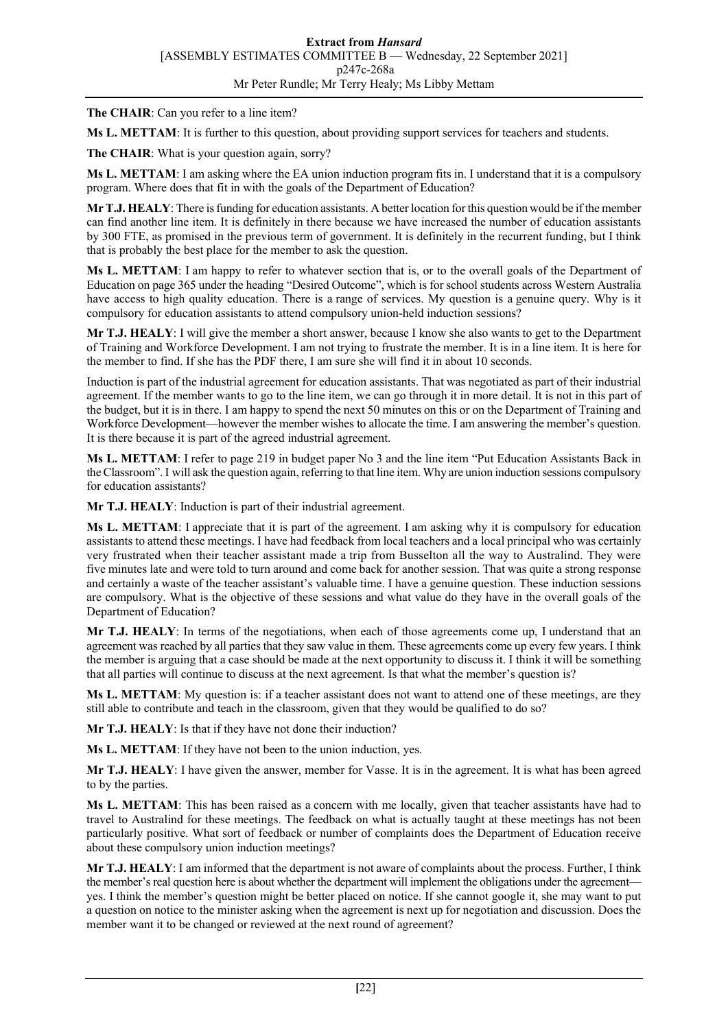**The CHAIR**: Can you refer to a line item?

**Ms L. METTAM**: It is further to this question, about providing support services for teachers and students.

The CHAIR: What is your question again, sorry?

**Ms L. METTAM**: I am asking where the EA union induction program fits in. I understand that it is a compulsory program. Where does that fit in with the goals of the Department of Education?

**Mr T.J. HEALY**: There is funding for education assistants. A better location for this question would be if the member can find another line item. It is definitely in there because we have increased the number of education assistants by 300 FTE, as promised in the previous term of government. It is definitely in the recurrent funding, but I think that is probably the best place for the member to ask the question.

**Ms L. METTAM**: I am happy to refer to whatever section that is, or to the overall goals of the Department of Education on page 365 under the heading "Desired Outcome", which is for school students across Western Australia have access to high quality education. There is a range of services. My question is a genuine query. Why is it compulsory for education assistants to attend compulsory union-held induction sessions?

**Mr T.J. HEALY**: I will give the member a short answer, because I know she also wants to get to the Department of Training and Workforce Development. I am not trying to frustrate the member. It is in a line item. It is here for the member to find. If she has the PDF there, I am sure she will find it in about 10 seconds.

Induction is part of the industrial agreement for education assistants. That was negotiated as part of their industrial agreement. If the member wants to go to the line item, we can go through it in more detail. It is not in this part of the budget, but it is in there. I am happy to spend the next 50 minutes on this or on the Department of Training and Workforce Development—however the member wishes to allocate the time. I am answering the member's question. It is there because it is part of the agreed industrial agreement.

**Ms L. METTAM**: I refer to page 219 in budget paper No 3 and the line item "Put Education Assistants Back in the Classroom". I will ask the question again, referring to that line item. Why are union induction sessions compulsory for education assistants?

**Mr T.J. HEALY**: Induction is part of their industrial agreement.

**Ms L. METTAM**: I appreciate that it is part of the agreement. I am asking why it is compulsory for education assistants to attend these meetings. I have had feedback from local teachers and a local principal who was certainly very frustrated when their teacher assistant made a trip from Busselton all the way to Australind. They were five minutes late and were told to turn around and come back for another session. That was quite a strong response and certainly a waste of the teacher assistant's valuable time. I have a genuine question. These induction sessions are compulsory. What is the objective of these sessions and what value do they have in the overall goals of the Department of Education?

**Mr T.J. HEALY**: In terms of the negotiations, when each of those agreements come up, I understand that an agreement was reached by all parties that they saw value in them. These agreements come up every few years. I think the member is arguing that a case should be made at the next opportunity to discuss it. I think it will be something that all parties will continue to discuss at the next agreement. Is that what the member's question is?

**Ms L. METTAM**: My question is: if a teacher assistant does not want to attend one of these meetings, are they still able to contribute and teach in the classroom, given that they would be qualified to do so?

**Mr T.J. HEALY**: Is that if they have not done their induction?

**Ms L. METTAM**: If they have not been to the union induction, yes.

**Mr T.J. HEALY**: I have given the answer, member for Vasse. It is in the agreement. It is what has been agreed to by the parties.

**Ms L. METTAM**: This has been raised as a concern with me locally, given that teacher assistants have had to travel to Australind for these meetings. The feedback on what is actually taught at these meetings has not been particularly positive. What sort of feedback or number of complaints does the Department of Education receive about these compulsory union induction meetings?

**Mr T.J. HEALY**: I am informed that the department is not aware of complaints about the process. Further, I think the member's real question here is about whether the department will implement the obligations under the agreement yes. I think the member's question might be better placed on notice. If she cannot google it, she may want to put a question on notice to the minister asking when the agreement is next up for negotiation and discussion. Does the member want it to be changed or reviewed at the next round of agreement?